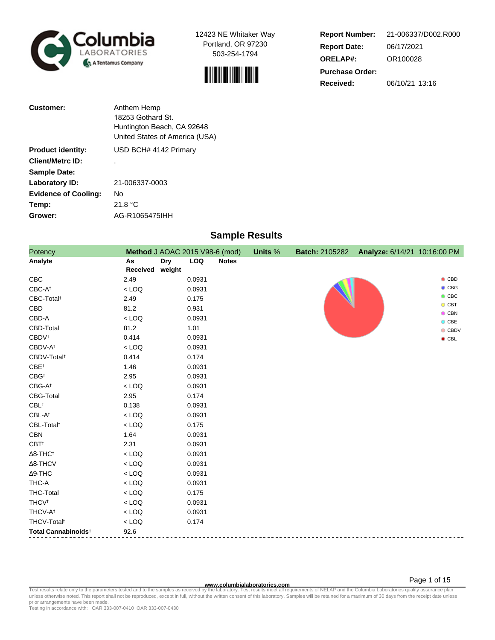



**Report Number: Report Date: ORELAP#:** 06/17/2021 OR100028 **Received:** 06/10/21 13:16 **Purchase Order:** 21-006337/D002.R000

| <b>Customer:</b>            | Anthem Hemp                    |
|-----------------------------|--------------------------------|
|                             | 18253 Gothard St.              |
|                             | Huntington Beach, CA 92648     |
|                             | United States of America (USA) |
| <b>Product identity:</b>    | USD BCH# 4142 Primary          |
| <b>Client/Metrc ID:</b>     |                                |
| <b>Sample Date:</b>         |                                |
| Laboratory ID:              | 21-006337-0003                 |
| <b>Evidence of Cooling:</b> | Nο                             |
| Temp:                       | 21.8 °C                        |
| Grower:                     | AG-R1065475IHH                 |

# **Sample Results**

| Potency                         | Method J AOAC 2015 V98-6 (mod) |                      |            |              | Units % | <b>Batch: 2105282</b> | Analyze: 6/14/21 10:16:00 PM |                          |
|---------------------------------|--------------------------------|----------------------|------------|--------------|---------|-----------------------|------------------------------|--------------------------|
| Analyte                         | As<br>Received                 | <b>Dry</b><br>weight | <b>LOQ</b> | <b>Notes</b> |         |                       |                              |                          |
| CBC                             | 2.49                           |                      | 0.0931     |              |         |                       |                              | $\bullet$ CBD            |
| $CBC-A^{\dagger}$               | $<$ LOQ                        |                      | 0.0931     |              |         |                       |                              | $\bullet$ CBG            |
| CBC-Total <sup>t</sup>          | 2.49                           |                      | 0.175      |              |         |                       |                              | $\bullet$ CBC            |
| CBD                             | 81.2                           |                      | 0.931      |              |         |                       |                              | $O$ CBT<br>$\bullet$ CBN |
| CBD-A                           | $<$ LOQ                        |                      | 0.0931     |              |         |                       |                              | $O$ CBE                  |
| CBD-Total                       | 81.2                           |                      | 1.01       |              |         |                       |                              | $\bullet$ CBDV           |
| <b>CBDV</b> <sup>t</sup>        | 0.414                          |                      | 0.0931     |              |         |                       |                              | $\bullet$ CBL            |
| CBDV-A <sup>t</sup>             | $<$ LOQ                        |                      | 0.0931     |              |         |                       |                              |                          |
| CBDV-Total <sup>t</sup>         | 0.414                          |                      | 0.174      |              |         |                       |                              |                          |
| CBE <sup>+</sup>                | 1.46                           |                      | 0.0931     |              |         |                       |                              |                          |
| $CBG^{\dagger}$                 | 2.95                           |                      | 0.0931     |              |         |                       |                              |                          |
| $CBG-A^{\dagger}$               | $<$ LOQ                        |                      | 0.0931     |              |         |                       |                              |                          |
| CBG-Total                       | 2.95                           |                      | 0.174      |              |         |                       |                              |                          |
| $CBL^{\dagger}$                 | 0.138                          |                      | 0.0931     |              |         |                       |                              |                          |
| $CBL-A^{\dagger}$               | $<$ LOQ                        |                      | 0.0931     |              |         |                       |                              |                          |
| CBL-Total <sup>t</sup>          | $<$ LOQ                        |                      | 0.175      |              |         |                       |                              |                          |
| <b>CBN</b>                      | 1.64                           |                      | 0.0931     |              |         |                       |                              |                          |
| $CBT^{\dagger}$                 | 2.31                           |                      | 0.0931     |              |         |                       |                              |                          |
| $\Delta$ 8-THC <sup>†</sup>     | $<$ LOQ                        |                      | 0.0931     |              |         |                       |                              |                          |
| $\Delta$ 8-THCV                 | $<$ LOQ                        |                      | 0.0931     |              |         |                       |                              |                          |
| $\Delta$ 9-THC                  | $<$ LOQ                        |                      | 0.0931     |              |         |                       |                              |                          |
| THC-A                           | $<$ LOQ                        |                      | 0.0931     |              |         |                       |                              |                          |
| <b>THC-Total</b>                | $<$ LOQ                        |                      | 0.175      |              |         |                       |                              |                          |
| <b>THCV<sup>t</sup></b>         | $<$ LOQ                        |                      | 0.0931     |              |         |                       |                              |                          |
| THCV-A <sup>t</sup>             | $<$ LOQ                        |                      | 0.0931     |              |         |                       |                              |                          |
| THCV-Total <sup>t</sup>         | $<$ LOQ                        |                      | 0.174      |              |         |                       |                              |                          |
| Total Cannabinoids <sup>+</sup> | 92.6                           |                      |            |              |         |                       |                              |                          |

www.columbialaboratories.com<br>Test results relate only to the parameters tested and to the samples as received by the laboratories columbiala<br>unless otherwise noted. This report shall not be reproduced, except in full, with prior arrangements have been made.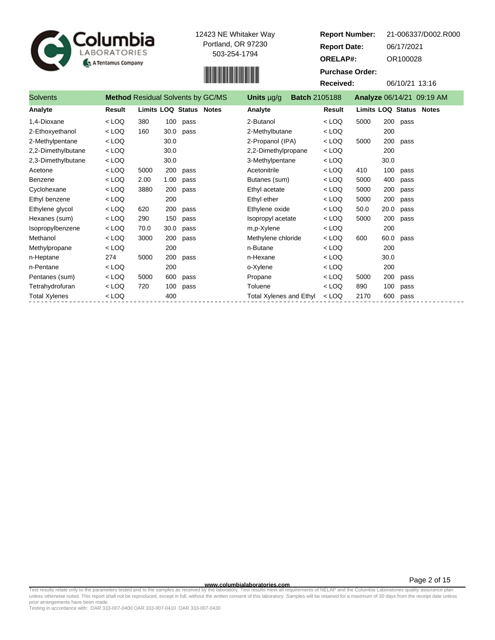



| Report Number:         | 21-006337/D002.R000       |
|------------------------|---------------------------|
| <b>Report Date:</b>    | 06/17/2021                |
| <b>ORELAP#:</b>        | OR100028                  |
| <b>Purchase Order:</b> |                           |
| Received:              | 06/10/21 13:16            |
| 05188                  | Analyze 06/14/21 09:19 AM |
|                        |                           |

| <b>Solvents</b>      | <b>Method Residual Solvents by GC/MS</b> |                         |      |      | Units $\mu$ g/g                | <b>Batch 2105188</b> |         |                         |      |      | Analyze 06/14/21 09:19 AM |
|----------------------|------------------------------------------|-------------------------|------|------|--------------------------------|----------------------|---------|-------------------------|------|------|---------------------------|
| Analyte              | Result                                   | Limits LOQ Status Notes |      |      | Analyte                        |                      | Result  | Limits LOQ Status Notes |      |      |                           |
| 1,4-Dioxane          | $<$ LOQ                                  | 380                     | 100  | pass | 2-Butanol                      |                      | $<$ LOQ | 5000                    | 200  | pass |                           |
| 2-Ethoxyethanol      | $<$ LOQ                                  | 160                     | 30.0 | pass | 2-Methylbutane                 |                      | $<$ LOQ |                         | 200  |      |                           |
| 2-Methylpentane      | $<$ LOQ                                  |                         | 30.0 |      | 2-Propanol (IPA)               |                      | $<$ LOQ | 5000                    | 200  | pass |                           |
| 2,2-Dimethylbutane   | $<$ LOQ                                  |                         | 30.0 |      | 2,2-Dimethylpropane            |                      | $<$ LOQ |                         | 200  |      |                           |
| 2,3-Dimethylbutane   | $<$ LOQ                                  |                         | 30.0 |      | 3-Methylpentane                |                      | $<$ LOQ |                         | 30.0 |      |                           |
| Acetone              | $<$ LOQ                                  | 5000                    | 200  | pass | Acetonitrile                   |                      | $<$ LOQ | 410                     | 100  | pass |                           |
| Benzene              | $<$ LOQ                                  | 2.00                    | 1.00 | pass | Butanes (sum)                  |                      | $<$ LOQ | 5000                    | 400  | pass |                           |
| Cyclohexane          | $<$ LOQ                                  | 3880                    | 200  | pass | Ethyl acetate                  |                      | $<$ LOQ | 5000                    | 200  | pass |                           |
| Ethyl benzene        | $<$ LOQ                                  |                         | 200  |      | Ethyl ether                    |                      | $<$ LOQ | 5000                    | 200  | pass |                           |
| Ethylene glycol      | $<$ LOQ                                  | 620                     | 200  | pass | Ethylene oxide                 |                      | $<$ LOQ | 50.0                    | 20.0 | pass |                           |
| Hexanes (sum)        | $<$ LOQ                                  | 290                     | 150  | pass | Isopropyl acetate              |                      | $<$ LOQ | 5000                    | 200  | pass |                           |
| Isopropylbenzene     | $<$ LOQ                                  | 70.0                    | 30.0 | pass | m,p-Xylene                     |                      | $<$ LOQ |                         | 200  |      |                           |
| Methanol             | $<$ LOQ                                  | 3000                    | 200  | pass | Methylene chloride             |                      | < LOQ   | 600                     | 60.0 | pass |                           |
| Methylpropane        | $<$ LOQ                                  |                         | 200  |      | n-Butane                       |                      | < LOQ   |                         | 200  |      |                           |
| n-Heptane            | 274                                      | 5000                    | 200  | pass | n-Hexane                       |                      | $<$ LOQ |                         | 30.0 |      |                           |
| n-Pentane            | $<$ LOQ                                  |                         | 200  |      | o-Xylene                       |                      | $<$ LOQ |                         | 200  |      |                           |
| Pentanes (sum)       | $<$ LOQ                                  | 5000                    | 600  | pass | Propane                        |                      | $<$ LOQ | 5000                    | 200  | pass |                           |
| Tetrahydrofuran      | $<$ LOQ                                  | 720                     | 100  | pass | Toluene                        |                      | $<$ LOQ | 890                     | 100  | pass |                           |
| <b>Total Xylenes</b> | $<$ LOQ                                  |                         | 400  |      | <b>Total Xylenes and Ethyl</b> |                      | < LOQ   | 2170                    | 600  | pass |                           |
|                      |                                          |                         |      |      |                                |                      |         |                         |      |      |                           |

**www.columbialaboratories.com**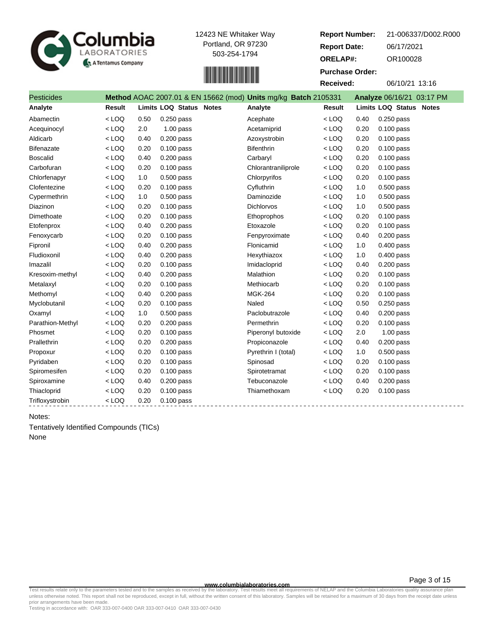



| 21-006337/D002.R000 |
|---------------------|
| 06/17/2021          |
| OR100028            |
|                     |
| 06/10/21 13:16      |
|                     |

| <b>Pesticides</b> |               |      |                                | Method AOAC 2007.01 & EN 15662 (mod) Units mg/kg Batch 2105331 |               |      | Analyze 06/16/21 03:17 PM |
|-------------------|---------------|------|--------------------------------|----------------------------------------------------------------|---------------|------|---------------------------|
| Analyte           | <b>Result</b> |      | <b>Limits LOQ Status Notes</b> | Analyte                                                        | <b>Result</b> |      | Limits LOQ Status Notes   |
| Abamectin         | $<$ LOQ       | 0.50 | $0.250$ pass                   | Acephate                                                       | $<$ LOQ       | 0.40 | 0.250 pass                |
| Acequinocyl       | $<$ LOQ       | 2.0  | $1.00$ pass                    | Acetamiprid                                                    | $<$ LOQ       | 0.20 | $0.100$ pass              |
| Aldicarb          | $<$ LOQ       | 0.40 | $0.200$ pass                   | Azoxystrobin                                                   | $<$ LOQ       | 0.20 | $0.100$ pass              |
| Bifenazate        | $<$ LOQ       | 0.20 | $0.100$ pass                   | <b>Bifenthrin</b>                                              | $<$ LOQ       | 0.20 | $0.100$ pass              |
| <b>Boscalid</b>   | $<$ LOQ       | 0.40 | $0.200$ pass                   | Carbaryl                                                       | $<$ LOQ       | 0.20 | $0.100$ pass              |
| Carbofuran        | $<$ LOQ       | 0.20 | $0.100$ pass                   | Chlorantraniliprole                                            | $<$ LOQ       | 0.20 | $0.100$ pass              |
| Chlorfenapyr      | $<$ LOQ       | 1.0  | 0.500 pass                     | Chlorpyrifos                                                   | $<$ LOQ       | 0.20 | 0.100 pass                |
| Clofentezine      | $<$ LOQ       | 0.20 | 0.100 pass                     | Cyfluthrin                                                     | $<$ LOQ       | 1.0  | 0.500 pass                |
| Cypermethrin      | $<$ LOQ       | 1.0  | 0.500 pass                     | Daminozide                                                     | $<$ LOQ       | 1.0  | $0.500$ pass              |
| Diazinon          | $<$ LOQ       | 0.20 | $0.100$ pass                   | <b>Dichlorvos</b>                                              | $<$ LOQ       | 1.0  | $0.500$ pass              |
| Dimethoate        | $<$ LOQ       | 0.20 | $0.100$ pass                   | Ethoprophos                                                    | $<$ LOQ       | 0.20 | $0.100$ pass              |
| Etofenprox        | $<$ LOQ       | 0.40 | $0.200$ pass                   | Etoxazole                                                      | $<$ LOQ       | 0.20 | $0.100$ pass              |
| Fenoxycarb        | $<$ LOQ       | 0.20 | $0.100$ pass                   | Fenpyroximate                                                  | $<$ LOQ       | 0.40 | 0.200 pass                |
| Fipronil          | $<$ LOQ       | 0.40 | $0.200$ pass                   | Flonicamid                                                     | $<$ LOQ       | 1.0  | $0.400$ pass              |
| Fludioxonil       | $<$ LOQ       | 0.40 | $0.200$ pass                   | Hexythiazox                                                    | $<$ LOQ       | 1.0  | 0.400 pass                |
| Imazalil          | $<$ LOQ       | 0.20 | $0.100$ pass                   | Imidacloprid                                                   | $<$ LOQ       | 0.40 | $0.200$ pass              |
| Kresoxim-methyl   | $<$ LOQ       | 0.40 | $0.200$ pass                   | Malathion                                                      | $<$ LOQ       | 0.20 | $0.100$ pass              |
| Metalaxyl         | $<$ LOQ       | 0.20 | $0.100$ pass                   | Methiocarb                                                     | $<$ LOQ       | 0.20 | $0.100$ pass              |
| Methomyl          | $<$ LOQ       | 0.40 | 0.200 pass                     | <b>MGK-264</b>                                                 | $<$ LOQ       | 0.20 | $0.100$ pass              |
| Myclobutanil      | $<$ LOQ       | 0.20 | 0.100 pass                     | Naled                                                          | $<$ LOQ       | 0.50 | $0.250$ pass              |
| Oxamyl            | $<$ LOQ       | 1.0  | $0.500$ pass                   | Paclobutrazole                                                 | $<$ LOQ       | 0.40 | $0.200$ pass              |
| Parathion-Methyl  | $<$ LOQ       | 0.20 | $0.200$ pass                   | Permethrin                                                     | $<$ LOQ       | 0.20 | $0.100$ pass              |
| Phosmet           | $<$ LOQ       | 0.20 | $0.100$ pass                   | Piperonyl butoxide                                             | $<$ LOQ       | 2.0  | $1.00$ pass               |
| Prallethrin       | $<$ LOQ       | 0.20 | $0.200$ pass                   | Propiconazole                                                  | $<$ LOQ       | 0.40 | $0.200$ pass              |
| Propoxur          | $<$ LOQ       | 0.20 | $0.100$ pass                   | Pyrethrin I (total)                                            | $<$ LOQ       | 1.0  | $0.500$ pass              |
| Pyridaben         | $<$ LOQ       | 0.20 | $0.100$ pass                   | Spinosad                                                       | $<$ LOQ       | 0.20 | 0.100 pass                |
| Spiromesifen      | $<$ LOQ       | 0.20 | $0.100$ pass                   | Spirotetramat                                                  | $<$ LOQ       | 0.20 | $0.100$ pass              |
| Spiroxamine       | $<$ LOQ       | 0.40 | $0.200$ pass                   | Tebuconazole                                                   | $<$ LOQ       | 0.40 | $0.200$ pass              |
| Thiacloprid       | $<$ LOQ       | 0.20 | $0.100$ pass                   | Thiamethoxam                                                   | $<$ LOQ       | 0.20 | $0.100$ pass              |
| Trifloxystrobin   | $<$ LOQ       | 0.20 | $0.100$ pass                   |                                                                |               |      |                           |

# Notes:

Tentatively Identified Compounds (TICs) None

**www.columbialaboratories.com**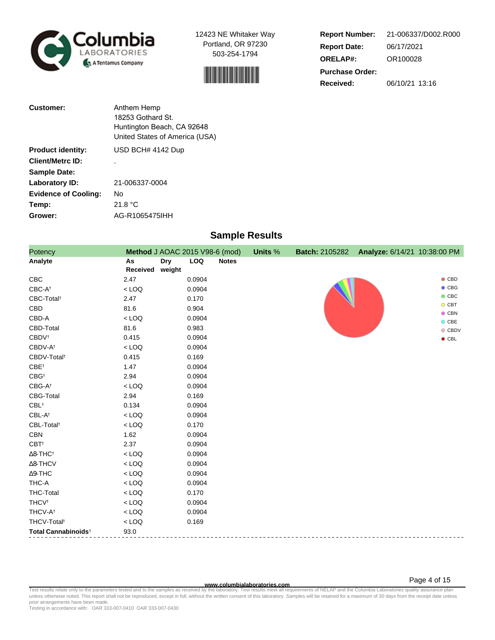



**Report Number: Report Date: ORELAP#:** 06/17/2021 OR100028 **Received:** 06/10/21 13:16 **Purchase Order:** 21-006337/D002.R000

| <b>Customer:</b>            | Anthem Hemp                                                  |
|-----------------------------|--------------------------------------------------------------|
|                             | 18253 Gothard St.                                            |
|                             | Huntington Beach, CA 92648<br>United States of America (USA) |
| <b>Product identity:</b>    | USD BCH# 4142 Dup                                            |
| <b>Client/Metrc ID:</b>     |                                                              |
| <b>Sample Date:</b>         |                                                              |
| Laboratory ID:              | 21-006337-0004                                               |
| <b>Evidence of Cooling:</b> | No                                                           |
| Temp:                       | 21.8 °C                                                      |
| Grower:                     | AG-R1065475IHH                                               |

# **Sample Results**

| Potency                         | Method J AOAC 2015 V98-6 (mod) |                      |            |              | <b>Units %</b> | <b>Batch: 2105282</b> | Analyze: 6/14/21 10:38:00 PM |                                |
|---------------------------------|--------------------------------|----------------------|------------|--------------|----------------|-----------------------|------------------------------|--------------------------------|
| Analyte                         | As<br>Received                 | <b>Dry</b><br>weight | <b>LOQ</b> | <b>Notes</b> |                |                       |                              |                                |
| <b>CBC</b>                      | 2.47                           |                      | 0.0904     |              |                |                       |                              | $\bullet$ CBD                  |
| $CBC-A^{\dagger}$               | $<$ LOQ                        |                      | 0.0904     |              |                |                       |                              | $\bullet$ CBG                  |
| CBC-Total <sup>t</sup>          | 2.47                           |                      | 0.170      |              |                |                       |                              | $\bullet$ CBC                  |
| CBD                             | 81.6                           |                      | 0.904      |              |                |                       |                              | $\bullet$ CBT<br>$\bullet$ CBN |
| CBD-A                           | $<$ LOQ                        |                      | 0.0904     |              |                |                       |                              | $O$ CBE                        |
| CBD-Total                       | 81.6                           |                      | 0.983      |              |                |                       |                              | $\bullet$ CBDV                 |
| <b>CBDV</b> <sup>t</sup>        | 0.415                          |                      | 0.0904     |              |                |                       |                              | $\bullet$ CBL                  |
| CBDV-A <sup>t</sup>             | $<$ LOQ                        |                      | 0.0904     |              |                |                       |                              |                                |
| CBDV-Total <sup>t</sup>         | 0.415                          |                      | 0.169      |              |                |                       |                              |                                |
| CBE <sup>t</sup>                | 1.47                           |                      | 0.0904     |              |                |                       |                              |                                |
| $CBG^{\dagger}$                 | 2.94                           |                      | 0.0904     |              |                |                       |                              |                                |
| $CBG-A^{\dagger}$               | $<$ LOQ                        |                      | 0.0904     |              |                |                       |                              |                                |
| CBG-Total                       | 2.94                           |                      | 0.169      |              |                |                       |                              |                                |
| $\mathsf{CBL}^\dagger$          | 0.134                          |                      | 0.0904     |              |                |                       |                              |                                |
| CBL-At                          | $<$ LOQ                        |                      | 0.0904     |              |                |                       |                              |                                |
| CBL-Total <sup>t</sup>          | $<$ LOQ                        |                      | 0.170      |              |                |                       |                              |                                |
| <b>CBN</b>                      | 1.62                           |                      | 0.0904     |              |                |                       |                              |                                |
| CBT <sup>+</sup>                | 2.37                           |                      | 0.0904     |              |                |                       |                              |                                |
| $\Delta$ 8-THC <sup>†</sup>     | $<$ LOQ                        |                      | 0.0904     |              |                |                       |                              |                                |
| $\Delta$ 8-THCV                 | $<$ LOQ                        |                      | 0.0904     |              |                |                       |                              |                                |
| $\Delta$ 9-THC                  | $<$ LOQ                        |                      | 0.0904     |              |                |                       |                              |                                |
| THC-A                           | $<$ LOQ                        |                      | 0.0904     |              |                |                       |                              |                                |
| <b>THC-Total</b>                | $<$ LOQ                        |                      | 0.170      |              |                |                       |                              |                                |
| <b>THCV<sup>t</sup></b>         | $<$ LOQ                        |                      | 0.0904     |              |                |                       |                              |                                |
| THCV-A <sup>t</sup>             | $<$ LOQ                        |                      | 0.0904     |              |                |                       |                              |                                |
| THCV-Total <sup>t</sup>         | $<$ LOQ                        |                      | 0.169      |              |                |                       |                              |                                |
| Total Cannabinoids <sup>+</sup> | 93.0                           |                      |            |              |                |                       |                              |                                |

www.columbialaboratories.com<br>Test results relate only to the parameters tested and to the samples as received by the laboratories columbiala<br>unless otherwise noted. This report shall not be reproduced, except in full, with prior arrangements have been made.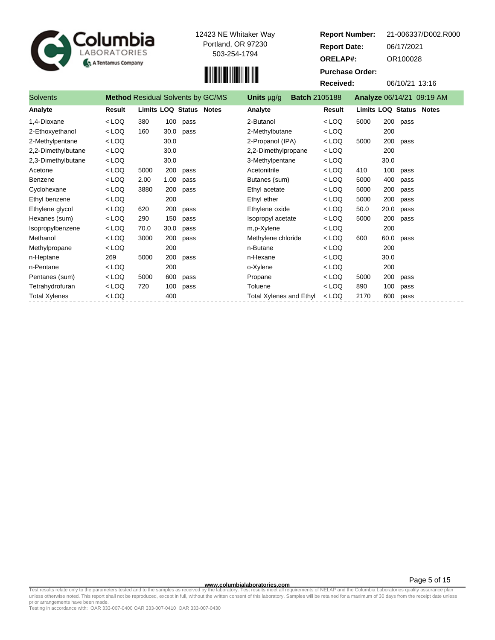



**Report Number: Report Date: ORELAP#:** 06/17/2021 OR100028 **Received:** 06/10/21 13:16 **Purchase Order:** 21-006337/D002.R000

| <b>Solvents</b>      |         |      |      | <b>Method Residual Solvents by GC/MS</b> | Units µg/g                     | <b>Batch 2105188</b> |         |                                |      |      | Analyze 06/14/21 09:19 AM |
|----------------------|---------|------|------|------------------------------------------|--------------------------------|----------------------|---------|--------------------------------|------|------|---------------------------|
| Analyte              | Result  |      |      | <b>Limits LOQ Status Notes</b>           | Analyte                        |                      | Result  | <b>Limits LOQ Status Notes</b> |      |      |                           |
| 1,4-Dioxane          | $<$ LOQ | 380  | 100  | pass                                     | 2-Butanol                      |                      | $<$ LOQ | 5000                           | 200  | pass |                           |
| 2-Ethoxyethanol      | $<$ LOQ | 160  | 30.0 | pass                                     | 2-Methylbutane                 |                      | $<$ LOQ |                                | 200  |      |                           |
| 2-Methylpentane      | $<$ LOQ |      | 30.0 |                                          | 2-Propanol (IPA)               |                      | $<$ LOQ | 5000                           | 200  | pass |                           |
| 2,2-Dimethylbutane   | $<$ LOQ |      | 30.0 |                                          | 2,2-Dimethylpropane            |                      | $<$ LOQ |                                | 200  |      |                           |
| 2,3-Dimethylbutane   | $<$ LOQ |      | 30.0 |                                          | 3-Methylpentane                |                      | $<$ LOQ |                                | 30.0 |      |                           |
| Acetone              | $<$ LOQ | 5000 | 200  | pass                                     | Acetonitrile                   |                      | $<$ LOQ | 410                            | 100  | pass |                           |
| Benzene              | $<$ LOQ | 2.00 | 1.00 | pass                                     | Butanes (sum)                  |                      | < LOQ   | 5000                           | 400  | pass |                           |
| Cyclohexane          | $<$ LOQ | 3880 | 200  | pass                                     | Ethyl acetate                  |                      | < LOQ   | 5000                           | 200  | pass |                           |
| Ethyl benzene        | $<$ LOQ |      | 200  |                                          | Ethyl ether                    |                      | < LOQ   | 5000                           | 200  | pass |                           |
| Ethylene glycol      | $<$ LOQ | 620  | 200  | pass                                     | Ethylene oxide                 |                      | $<$ LOQ | 50.0                           | 20.0 | pass |                           |
| Hexanes (sum)        | $<$ LOQ | 290  | 150  | pass                                     | Isopropyl acetate              |                      | $<$ LOQ | 5000                           | 200  | pass |                           |
| Isopropylbenzene     | $<$ LOQ | 70.0 | 30.0 | pass                                     | m,p-Xylene                     |                      | $<$ LOQ |                                | 200  |      |                           |
| Methanol             | $<$ LOQ | 3000 | 200  | pass                                     | Methylene chloride             |                      | $<$ LOQ | 600                            | 60.0 | pass |                           |
| Methylpropane        | $<$ LOQ |      | 200  |                                          | n-Butane                       |                      | $<$ LOQ |                                | 200  |      |                           |
| n-Heptane            | 269     | 5000 | 200  | pass                                     | n-Hexane                       |                      | $<$ LOQ |                                | 30.0 |      |                           |
| n-Pentane            | $<$ LOQ |      | 200  |                                          | o-Xylene                       |                      | $<$ LOQ |                                | 200  |      |                           |
| Pentanes (sum)       | $<$ LOQ | 5000 | 600  | pass                                     | Propane                        |                      | $<$ LOQ | 5000                           | 200  | pass |                           |
| Tetrahydrofuran      | $<$ LOQ | 720  | 100  | pass                                     | Toluene                        |                      | < LOQ   | 890                            | 100  | pass |                           |
| <b>Total Xylenes</b> | $<$ LOQ |      | 400  |                                          | <b>Total Xylenes and Ethyl</b> |                      | $<$ LOQ | 2170                           | 600  | pass |                           |

**www.columbialaboratories.com**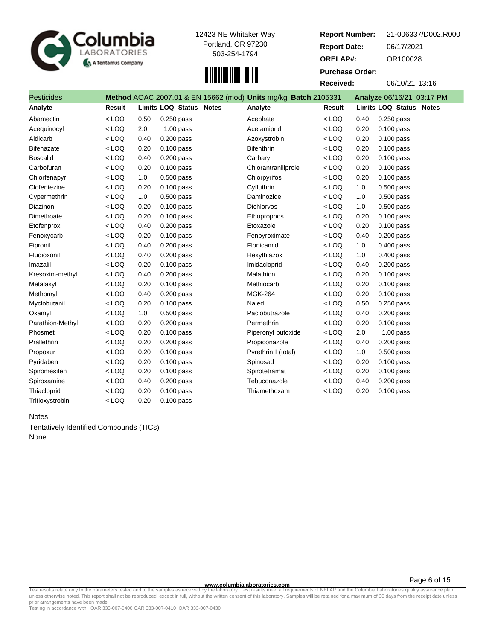



| <b>Report Number:</b>  | 21-006337/D002.R000 |
|------------------------|---------------------|
| <b>Report Date:</b>    | 06/17/2021          |
| <b>ORELAP#:</b>        | OR100028            |
| <b>Purchase Order:</b> |                     |
| Received:              | 06/10/21 13:16      |
|                        |                     |

| <b>Pesticides</b> |               |      |                                | Method AOAC 2007.01 & EN 15662 (mod) Units mg/kg Batch 2105331 |               |      | Analyze 06/16/21 03:17 PM      |
|-------------------|---------------|------|--------------------------------|----------------------------------------------------------------|---------------|------|--------------------------------|
| Analyte           | <b>Result</b> |      | <b>Limits LOQ Status Notes</b> | Analyte                                                        | <b>Result</b> |      | <b>Limits LOQ Status Notes</b> |
| Abamectin         | $<$ LOQ       | 0.50 | $0.250$ pass                   | Acephate                                                       | $<$ LOQ       | 0.40 | $0.250$ pass                   |
| Acequinocyl       | $<$ LOQ       | 2.0  | $1.00$ pass                    | Acetamiprid                                                    | $<$ LOQ       | 0.20 | $0.100$ pass                   |
| Aldicarb          | $<$ LOQ       | 0.40 | 0.200 pass                     | Azoxystrobin                                                   | $<$ LOQ       | 0.20 | $0.100$ pass                   |
| <b>Bifenazate</b> | $<$ LOQ       | 0.20 | 0.100 pass                     | <b>Bifenthrin</b>                                              | $<$ LOQ       | 0.20 | $0.100$ pass                   |
| <b>Boscalid</b>   | $<$ LOQ       | 0.40 | 0.200 pass                     | Carbaryl                                                       | $<$ LOQ       | 0.20 | $0.100$ pass                   |
| Carbofuran        | $<$ LOQ       | 0.20 | 0.100 pass                     | Chlorantraniliprole                                            | $<$ LOQ       | 0.20 | $0.100$ pass                   |
| Chlorfenapyr      | $<$ LOQ       | 1.0  | 0.500 pass                     | Chlorpyrifos                                                   | $<$ LOQ       | 0.20 | $0.100$ pass                   |
| Clofentezine      | $<$ LOQ       | 0.20 | $0.100$ pass                   | Cyfluthrin                                                     | $<$ LOQ       | 1.0  | $0.500$ pass                   |
| Cypermethrin      | $<$ LOQ       | 1.0  | $0.500$ pass                   | Daminozide                                                     | $<$ LOQ       | 1.0  | $0.500$ pass                   |
| Diazinon          | $<$ LOQ       | 0.20 | $0.100$ pass                   | <b>Dichlorvos</b>                                              | $<$ LOQ       | 1.0  | 0.500 pass                     |
| Dimethoate        | $<$ LOQ       | 0.20 | $0.100$ pass                   | Ethoprophos                                                    | $<$ LOQ       | 0.20 | $0.100$ pass                   |
| Etofenprox        | $<$ LOQ       | 0.40 | $0.200$ pass                   | Etoxazole                                                      | $<$ LOQ       | 0.20 | $0.100$ pass                   |
| Fenoxycarb        | $<$ LOQ       | 0.20 | 0.100 pass                     | Fenpyroximate                                                  | $<$ LOQ       | 0.40 | $0.200$ pass                   |
| Fipronil          | $<$ LOQ       | 0.40 | $0.200$ pass                   | Flonicamid                                                     | $<$ LOQ       | 1.0  | 0.400 pass                     |
| Fludioxonil       | $<$ LOQ       | 0.40 | $0.200$ pass                   | Hexythiazox                                                    | $<$ LOQ       | 1.0  | 0.400 pass                     |
| Imazalil          | $<$ LOQ       | 0.20 | $0.100$ pass                   | Imidacloprid                                                   | $<$ LOQ       | 0.40 | $0.200$ pass                   |
| Kresoxim-methyl   | $<$ LOQ       | 0.40 | $0.200$ pass                   | Malathion                                                      | $<$ LOQ       | 0.20 | $0.100$ pass                   |
| Metalaxyl         | $<$ LOQ       | 0.20 | $0.100$ pass                   | Methiocarb                                                     | $<$ LOQ       | 0.20 | $0.100$ pass                   |
| Methomyl          | $<$ LOQ       | 0.40 | $0.200$ pass                   | <b>MGK-264</b>                                                 | $<$ LOQ       | 0.20 | $0.100$ pass                   |
| Myclobutanil      | $<$ LOQ       | 0.20 | $0.100$ pass                   | Naled                                                          | $<$ LOQ       | 0.50 | $0.250$ pass                   |
| Oxamyl            | $<$ LOQ       | 1.0  | $0.500$ pass                   | Paclobutrazole                                                 | $<$ LOQ       | 0.40 | $0.200$ pass                   |
| Parathion-Methyl  | $<$ LOQ       | 0.20 | $0.200$ pass                   | Permethrin                                                     | $<$ LOQ       | 0.20 | 0.100 pass                     |
| Phosmet           | $<$ LOQ       | 0.20 | 0.100 pass                     | Piperonyl butoxide                                             | $<$ LOQ       | 2.0  | $1.00$ pass                    |
| Prallethrin       | $<$ LOQ       | 0.20 | $0.200$ pass                   | Propiconazole                                                  | $<$ LOQ       | 0.40 | $0.200$ pass                   |
| Propoxur          | $<$ LOQ       | 0.20 | $0.100$ pass                   | Pyrethrin I (total)                                            | $<$ LOQ       | 1.0  | $0.500$ pass                   |
| Pyridaben         | $<$ LOQ       | 0.20 | 0.100 pass                     | Spinosad                                                       | $<$ LOQ       | 0.20 | $0.100$ pass                   |
| Spiromesifen      | $<$ LOQ       | 0.20 | 0.100 pass                     | Spirotetramat                                                  | $<$ LOQ       | 0.20 | $0.100$ pass                   |
| Spiroxamine       | $<$ LOQ       | 0.40 | $0.200$ pass                   | Tebuconazole                                                   | $<$ LOQ       | 0.40 | $0.200$ pass                   |
| Thiacloprid       | $<$ LOQ       | 0.20 | $0.100$ pass                   | Thiamethoxam                                                   | $<$ LOQ       | 0.20 | 0.100 pass                     |
| Trifloxystrobin   | $<$ LOQ       | 0.20 | $0.100$ pass                   |                                                                |               |      |                                |

# Notes:

Tentatively Identified Compounds (TICs) None

**www.columbialaboratories.com**

Page 6 of 15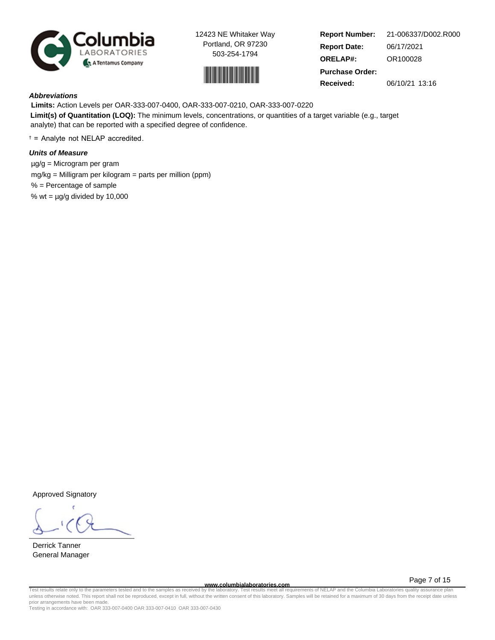



**Report Number: Report Date: ORELAP#:** 06/17/2021 OR100028 **Received:** 06/10/21 13:16 **Purchase Order:** 21-006337/D002.R000

# **Abbreviations**

 **Limits:** Action Levels per OAR-333-007-0400, OAR-333-007-0210, OAR-333-007-0220 **Limit(s) of Quantitation (LOQ):** The minimum levels, concentrations, or quantities of a target variable (e.g., target analyte) that can be reported with a specified degree of confidence.

 $t =$  Analyte not NELAP accredited.

# **Units of Measure**

 µg/g = Microgram per gram mg/kg = Milligram per kilogram = parts per million (ppm) % = Percentage of sample % wt =  $\mu$ g/g divided by 10,000

Approved Signatory

Derrick Tanner General Manager

**www.columbialaboratories.com**

Page 7 of 15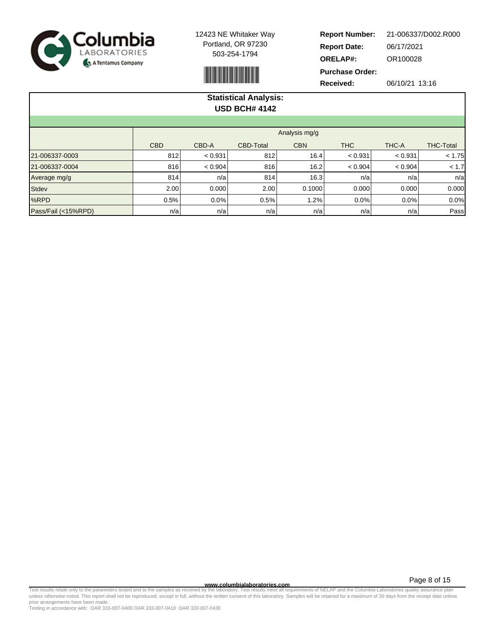



**Report Number: Report Date: ORELAP#:** 06/17/2021 OR100028 **Received:** 06/10/21 13:16 **Purchase Order:** 21-006337/D002.R000

| <b>Statistical Analysis:</b><br><b>USD BCH# 4142</b> |                                                                              |         |      |        |         |         |        |  |  |  |  |  |
|------------------------------------------------------|------------------------------------------------------------------------------|---------|------|--------|---------|---------|--------|--|--|--|--|--|
| Analysis mg/g                                        |                                                                              |         |      |        |         |         |        |  |  |  |  |  |
|                                                      | <b>CBD</b><br>CBD-A<br><b>CBN</b><br><b>THC</b><br>THC-A<br><b>CBD-Total</b> |         |      |        |         |         |        |  |  |  |  |  |
| 21-006337-0003                                       | 812                                                                          | < 0.931 | 812  | 16.4   | < 0.931 | < 0.931 | < 1.75 |  |  |  |  |  |
| 21-006337-0004                                       | 816                                                                          | < 0.904 | 816  | 16.2   | < 0.904 | < 0.904 | < 1.7  |  |  |  |  |  |
| Average mg/g                                         | 814                                                                          | n/a     | 814  | 16.3   | n/a     | n/a     | n/a    |  |  |  |  |  |
| <b>Stdev</b>                                         | 2.00                                                                         | 0.000   | 2.00 | 0.1000 | 0.000   | 0.000   | 0.000  |  |  |  |  |  |
| %RPD                                                 | 0.5%                                                                         | 0.0%    | 0.5% | 1.2%   | $0.0\%$ | $0.0\%$ | 0.0%   |  |  |  |  |  |
| Pass/Fail (<15%RPD)                                  | n/a                                                                          | n/a     | n/a  | n/a    | n/a     | n/a     | Pass   |  |  |  |  |  |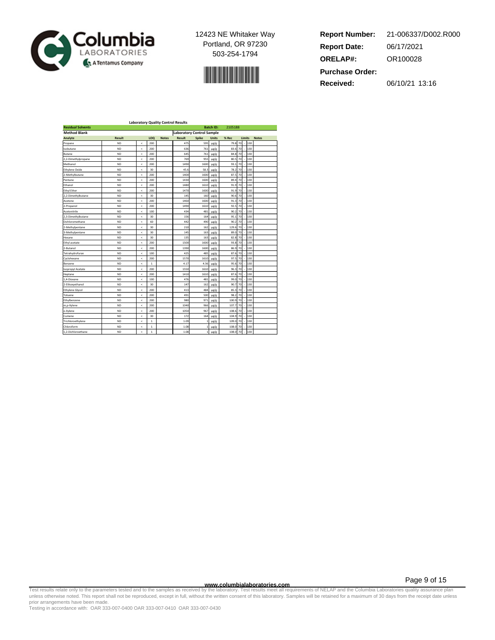

$$
\mathcal{L}^{\text{max}}_{\text{max}}
$$

| <b>Report Number:</b>  | 21-006337/D002.R000 |
|------------------------|---------------------|
| <b>Report Date:</b>    | 06/17/2021          |
| <b>ORELAP#:</b>        | OR100028            |
| <b>Purchase Order:</b> |                     |
| <b>Received:</b>       | 06/10/21 13:16      |

| <b>Residual Solvents</b><br><b>Batch ID:</b><br>2105188<br><b>Laboratory Control Sample</b><br><b>Method Blank</b><br><b>Result</b><br><b>Notes</b><br><b>Result</b><br><b>Spike</b><br><b>Units</b><br>% Rec<br>Limits<br>Analyte<br>LOO<br><b>Notes</b><br>70<br><b>ND</b><br>200<br>475<br>595<br>130<br>Propane<br>k<br>µg/g<br>79.8<br>70<br><b>ND</b><br>200<br>636<br>83.6<br>130<br>Isobutane<br>k<br>761<br>µg/g<br>130<br><b>Butane</b><br>ND.<br>200<br>645<br>761<br>ug/g<br>84S<br>70<br>k<br><b>ND</b><br>200<br>769<br>955<br>80.5<br>70<br>130<br>2,2-Dimethylpropane<br>k<br>ug/g<br>200<br>130<br><b>ND</b><br>1490<br>1600<br>93.1<br>70<br>Methanol<br>×<br>µg/g<br><b>ND</b><br>30<br>45.6<br>58.3<br>78.2<br>70<br>130<br><b>Ethylene Oxide</b><br>ć<br>$\mu$ g/g<br>2-Methylbutane<br><b>ND</b><br>k<br>200<br>1400<br>1600<br>$\mu$ g/g<br>87.5<br>70<br>130<br><b>ND</b><br>200<br>1430<br>1600<br>89.4<br>70<br>130<br>Pentane<br>k<br>ug/g<br>Ethanol<br><b>ND</b><br>200<br>1480<br>1610<br>91.9<br>70<br>130<br>k<br>µg/g<br><b>ND</b><br>200<br>1600<br>130<br><b>Ethyl Ether</b><br>1470<br>91.9<br>70<br>k<br>µg/g<br>130<br>2,2-Dimethylbutane<br><b>ND</b><br>30<br>145<br>160<br>90.6<br>70<br>k<br>µg/g<br><b>ND</b><br>200<br>1600<br>70<br>130<br>Acetone<br>k<br>1460<br>ug/g<br>91.3<br><b>ND</b><br>200<br>1490<br>1610<br>92.5<br>70<br>130<br>2-Propanol<br>×<br>$\mu$ g/g<br>100<br>130<br>Acetonitrile<br><b>ND</b><br>k<br>434<br>481<br>ug/g<br>90.2<br>70<br><b>ND</b><br>30<br>156<br>164<br>95.1<br>70<br>130<br>2,3-Dimethylbutane<br>k<br>µg/g<br><b>ND</b><br>60<br>442<br>490<br>90.2<br>130<br>Dichloromethane<br>k<br>µg/g<br>70<br>130<br><b>ND</b><br>30<br>210<br>129.6<br>70<br>2-Methylpentane<br>k<br>162<br>$\mu$ g/g<br>70<br>130<br>3-Methylpentane<br>ND.<br>k<br>30<br>145<br>163<br>$\mu$ g/g<br>89.0<br><b>ND</b><br>30<br>135<br>163<br>ug/g<br>82.8<br>70<br>130<br>Hexane<br>k<br>200<br>70<br>130<br>Ethyl acetate<br><b>ND</b><br>k<br>1500<br>1600<br>93.8<br>µg/g<br><b>ND</b><br>200<br>1390<br>1600<br>86.9<br>70<br>130<br>2-Butanol<br>×<br>$\mu$ g/g<br>130<br>Tetrahydrofuran<br>ND.<br>100<br>425<br>485<br>$\mu$ g/g<br>87.6<br>70<br>k<br><b>ND</b><br>200<br>1570<br>1610<br>97.5<br>70<br>130<br>Cyclohexane<br>k<br>ug/g<br>70<br>130<br><b>ND</b><br>k<br>$\mathbf{1}$<br>4.17<br>4.36<br>µg/g<br>95.6<br>Benzene<br><b>ND</b><br>200<br>1550<br>96.3<br>70<br>130<br><b>Isopropyl Acetate</b><br>ć<br>1610<br>ug/g<br>ND.<br>200<br>1410<br>1610<br>87.6<br>70<br>130<br>Heptane<br>k<br>µg/g<br><b>ND</b><br>100<br>476<br>481<br>99.0<br>130<br>1.4-Dioxane<br>k<br>ug/g<br>70<br>70<br>130<br>2-Ethoxyethanol<br><b>ND</b><br>30<br>147<br>µg/g<br>90.7<br>×<br>162<br><b>ND</b><br>200<br>70<br>130<br><b>Ethylene Glycol</b><br>k<br>413<br>484<br>ug/g<br>85.3<br>200<br>130<br>Toluene<br>ND.<br>491<br>500<br>µg/g<br>98<br>70<br>k<br><b>ND</b><br>200<br>980<br>971<br>100.9<br>70<br>130<br>Ethylbenzene<br>k<br>$\mu$ g/g<br><b>ND</b><br>200<br>1040<br>966<br>107.7<br>70<br>130<br>m,p-Xylene<br>×<br>$\mu$ g/g<br>200<br>130<br>o-Xvlene<br><b>ND</b><br>k<br>1050<br>967<br>ug/g<br>108.6<br>70<br><b>ND</b><br>30<br>172<br>164<br>µg/g<br>104.9<br>70<br>130<br>Cumene<br>k<br>Trichloroethylene<br><b>ND</b><br>$\mathbf{1}$<br>1.09<br>109.0<br>70<br>130<br>$\,<$<br>µg/g<br><b>ND</b><br>$\mathbf{1}$<br>1.08<br>108.0<br>70<br>130<br>Chloroform<br>k<br>ug/g | <b>Laboratory Quality Control Results</b> |  |  |  |  |  |  |  |  |  |  |
|---------------------------------------------------------------------------------------------------------------------------------------------------------------------------------------------------------------------------------------------------------------------------------------------------------------------------------------------------------------------------------------------------------------------------------------------------------------------------------------------------------------------------------------------------------------------------------------------------------------------------------------------------------------------------------------------------------------------------------------------------------------------------------------------------------------------------------------------------------------------------------------------------------------------------------------------------------------------------------------------------------------------------------------------------------------------------------------------------------------------------------------------------------------------------------------------------------------------------------------------------------------------------------------------------------------------------------------------------------------------------------------------------------------------------------------------------------------------------------------------------------------------------------------------------------------------------------------------------------------------------------------------------------------------------------------------------------------------------------------------------------------------------------------------------------------------------------------------------------------------------------------------------------------------------------------------------------------------------------------------------------------------------------------------------------------------------------------------------------------------------------------------------------------------------------------------------------------------------------------------------------------------------------------------------------------------------------------------------------------------------------------------------------------------------------------------------------------------------------------------------------------------------------------------------------------------------------------------------------------------------------------------------------------------------------------------------------------------------------------------------------------------------------------------------------------------------------------------------------------------------------------------------------------------------------------------------------------------------------------------------------------------------------------------------------------------------------------------------------------------------------------------------------------------------------------------------------------------------------------------------------------------------------------------------------------------------------------------------------------------------------------------------------------------------------------------------------------------------------|-------------------------------------------|--|--|--|--|--|--|--|--|--|--|
|                                                                                                                                                                                                                                                                                                                                                                                                                                                                                                                                                                                                                                                                                                                                                                                                                                                                                                                                                                                                                                                                                                                                                                                                                                                                                                                                                                                                                                                                                                                                                                                                                                                                                                                                                                                                                                                                                                                                                                                                                                                                                                                                                                                                                                                                                                                                                                                                                                                                                                                                                                                                                                                                                                                                                                                                                                                                                                                                                                                                                                                                                                                                                                                                                                                                                                                                                                                                                                                                                 |                                           |  |  |  |  |  |  |  |  |  |  |
|                                                                                                                                                                                                                                                                                                                                                                                                                                                                                                                                                                                                                                                                                                                                                                                                                                                                                                                                                                                                                                                                                                                                                                                                                                                                                                                                                                                                                                                                                                                                                                                                                                                                                                                                                                                                                                                                                                                                                                                                                                                                                                                                                                                                                                                                                                                                                                                                                                                                                                                                                                                                                                                                                                                                                                                                                                                                                                                                                                                                                                                                                                                                                                                                                                                                                                                                                                                                                                                                                 |                                           |  |  |  |  |  |  |  |  |  |  |
|                                                                                                                                                                                                                                                                                                                                                                                                                                                                                                                                                                                                                                                                                                                                                                                                                                                                                                                                                                                                                                                                                                                                                                                                                                                                                                                                                                                                                                                                                                                                                                                                                                                                                                                                                                                                                                                                                                                                                                                                                                                                                                                                                                                                                                                                                                                                                                                                                                                                                                                                                                                                                                                                                                                                                                                                                                                                                                                                                                                                                                                                                                                                                                                                                                                                                                                                                                                                                                                                                 |                                           |  |  |  |  |  |  |  |  |  |  |
|                                                                                                                                                                                                                                                                                                                                                                                                                                                                                                                                                                                                                                                                                                                                                                                                                                                                                                                                                                                                                                                                                                                                                                                                                                                                                                                                                                                                                                                                                                                                                                                                                                                                                                                                                                                                                                                                                                                                                                                                                                                                                                                                                                                                                                                                                                                                                                                                                                                                                                                                                                                                                                                                                                                                                                                                                                                                                                                                                                                                                                                                                                                                                                                                                                                                                                                                                                                                                                                                                 |                                           |  |  |  |  |  |  |  |  |  |  |
|                                                                                                                                                                                                                                                                                                                                                                                                                                                                                                                                                                                                                                                                                                                                                                                                                                                                                                                                                                                                                                                                                                                                                                                                                                                                                                                                                                                                                                                                                                                                                                                                                                                                                                                                                                                                                                                                                                                                                                                                                                                                                                                                                                                                                                                                                                                                                                                                                                                                                                                                                                                                                                                                                                                                                                                                                                                                                                                                                                                                                                                                                                                                                                                                                                                                                                                                                                                                                                                                                 |                                           |  |  |  |  |  |  |  |  |  |  |
|                                                                                                                                                                                                                                                                                                                                                                                                                                                                                                                                                                                                                                                                                                                                                                                                                                                                                                                                                                                                                                                                                                                                                                                                                                                                                                                                                                                                                                                                                                                                                                                                                                                                                                                                                                                                                                                                                                                                                                                                                                                                                                                                                                                                                                                                                                                                                                                                                                                                                                                                                                                                                                                                                                                                                                                                                                                                                                                                                                                                                                                                                                                                                                                                                                                                                                                                                                                                                                                                                 |                                           |  |  |  |  |  |  |  |  |  |  |
|                                                                                                                                                                                                                                                                                                                                                                                                                                                                                                                                                                                                                                                                                                                                                                                                                                                                                                                                                                                                                                                                                                                                                                                                                                                                                                                                                                                                                                                                                                                                                                                                                                                                                                                                                                                                                                                                                                                                                                                                                                                                                                                                                                                                                                                                                                                                                                                                                                                                                                                                                                                                                                                                                                                                                                                                                                                                                                                                                                                                                                                                                                                                                                                                                                                                                                                                                                                                                                                                                 |                                           |  |  |  |  |  |  |  |  |  |  |
|                                                                                                                                                                                                                                                                                                                                                                                                                                                                                                                                                                                                                                                                                                                                                                                                                                                                                                                                                                                                                                                                                                                                                                                                                                                                                                                                                                                                                                                                                                                                                                                                                                                                                                                                                                                                                                                                                                                                                                                                                                                                                                                                                                                                                                                                                                                                                                                                                                                                                                                                                                                                                                                                                                                                                                                                                                                                                                                                                                                                                                                                                                                                                                                                                                                                                                                                                                                                                                                                                 |                                           |  |  |  |  |  |  |  |  |  |  |
|                                                                                                                                                                                                                                                                                                                                                                                                                                                                                                                                                                                                                                                                                                                                                                                                                                                                                                                                                                                                                                                                                                                                                                                                                                                                                                                                                                                                                                                                                                                                                                                                                                                                                                                                                                                                                                                                                                                                                                                                                                                                                                                                                                                                                                                                                                                                                                                                                                                                                                                                                                                                                                                                                                                                                                                                                                                                                                                                                                                                                                                                                                                                                                                                                                                                                                                                                                                                                                                                                 |                                           |  |  |  |  |  |  |  |  |  |  |
|                                                                                                                                                                                                                                                                                                                                                                                                                                                                                                                                                                                                                                                                                                                                                                                                                                                                                                                                                                                                                                                                                                                                                                                                                                                                                                                                                                                                                                                                                                                                                                                                                                                                                                                                                                                                                                                                                                                                                                                                                                                                                                                                                                                                                                                                                                                                                                                                                                                                                                                                                                                                                                                                                                                                                                                                                                                                                                                                                                                                                                                                                                                                                                                                                                                                                                                                                                                                                                                                                 |                                           |  |  |  |  |  |  |  |  |  |  |
|                                                                                                                                                                                                                                                                                                                                                                                                                                                                                                                                                                                                                                                                                                                                                                                                                                                                                                                                                                                                                                                                                                                                                                                                                                                                                                                                                                                                                                                                                                                                                                                                                                                                                                                                                                                                                                                                                                                                                                                                                                                                                                                                                                                                                                                                                                                                                                                                                                                                                                                                                                                                                                                                                                                                                                                                                                                                                                                                                                                                                                                                                                                                                                                                                                                                                                                                                                                                                                                                                 |                                           |  |  |  |  |  |  |  |  |  |  |
|                                                                                                                                                                                                                                                                                                                                                                                                                                                                                                                                                                                                                                                                                                                                                                                                                                                                                                                                                                                                                                                                                                                                                                                                                                                                                                                                                                                                                                                                                                                                                                                                                                                                                                                                                                                                                                                                                                                                                                                                                                                                                                                                                                                                                                                                                                                                                                                                                                                                                                                                                                                                                                                                                                                                                                                                                                                                                                                                                                                                                                                                                                                                                                                                                                                                                                                                                                                                                                                                                 |                                           |  |  |  |  |  |  |  |  |  |  |
|                                                                                                                                                                                                                                                                                                                                                                                                                                                                                                                                                                                                                                                                                                                                                                                                                                                                                                                                                                                                                                                                                                                                                                                                                                                                                                                                                                                                                                                                                                                                                                                                                                                                                                                                                                                                                                                                                                                                                                                                                                                                                                                                                                                                                                                                                                                                                                                                                                                                                                                                                                                                                                                                                                                                                                                                                                                                                                                                                                                                                                                                                                                                                                                                                                                                                                                                                                                                                                                                                 |                                           |  |  |  |  |  |  |  |  |  |  |
|                                                                                                                                                                                                                                                                                                                                                                                                                                                                                                                                                                                                                                                                                                                                                                                                                                                                                                                                                                                                                                                                                                                                                                                                                                                                                                                                                                                                                                                                                                                                                                                                                                                                                                                                                                                                                                                                                                                                                                                                                                                                                                                                                                                                                                                                                                                                                                                                                                                                                                                                                                                                                                                                                                                                                                                                                                                                                                                                                                                                                                                                                                                                                                                                                                                                                                                                                                                                                                                                                 |                                           |  |  |  |  |  |  |  |  |  |  |
|                                                                                                                                                                                                                                                                                                                                                                                                                                                                                                                                                                                                                                                                                                                                                                                                                                                                                                                                                                                                                                                                                                                                                                                                                                                                                                                                                                                                                                                                                                                                                                                                                                                                                                                                                                                                                                                                                                                                                                                                                                                                                                                                                                                                                                                                                                                                                                                                                                                                                                                                                                                                                                                                                                                                                                                                                                                                                                                                                                                                                                                                                                                                                                                                                                                                                                                                                                                                                                                                                 |                                           |  |  |  |  |  |  |  |  |  |  |
|                                                                                                                                                                                                                                                                                                                                                                                                                                                                                                                                                                                                                                                                                                                                                                                                                                                                                                                                                                                                                                                                                                                                                                                                                                                                                                                                                                                                                                                                                                                                                                                                                                                                                                                                                                                                                                                                                                                                                                                                                                                                                                                                                                                                                                                                                                                                                                                                                                                                                                                                                                                                                                                                                                                                                                                                                                                                                                                                                                                                                                                                                                                                                                                                                                                                                                                                                                                                                                                                                 |                                           |  |  |  |  |  |  |  |  |  |  |
|                                                                                                                                                                                                                                                                                                                                                                                                                                                                                                                                                                                                                                                                                                                                                                                                                                                                                                                                                                                                                                                                                                                                                                                                                                                                                                                                                                                                                                                                                                                                                                                                                                                                                                                                                                                                                                                                                                                                                                                                                                                                                                                                                                                                                                                                                                                                                                                                                                                                                                                                                                                                                                                                                                                                                                                                                                                                                                                                                                                                                                                                                                                                                                                                                                                                                                                                                                                                                                                                                 |                                           |  |  |  |  |  |  |  |  |  |  |
|                                                                                                                                                                                                                                                                                                                                                                                                                                                                                                                                                                                                                                                                                                                                                                                                                                                                                                                                                                                                                                                                                                                                                                                                                                                                                                                                                                                                                                                                                                                                                                                                                                                                                                                                                                                                                                                                                                                                                                                                                                                                                                                                                                                                                                                                                                                                                                                                                                                                                                                                                                                                                                                                                                                                                                                                                                                                                                                                                                                                                                                                                                                                                                                                                                                                                                                                                                                                                                                                                 |                                           |  |  |  |  |  |  |  |  |  |  |
|                                                                                                                                                                                                                                                                                                                                                                                                                                                                                                                                                                                                                                                                                                                                                                                                                                                                                                                                                                                                                                                                                                                                                                                                                                                                                                                                                                                                                                                                                                                                                                                                                                                                                                                                                                                                                                                                                                                                                                                                                                                                                                                                                                                                                                                                                                                                                                                                                                                                                                                                                                                                                                                                                                                                                                                                                                                                                                                                                                                                                                                                                                                                                                                                                                                                                                                                                                                                                                                                                 |                                           |  |  |  |  |  |  |  |  |  |  |
|                                                                                                                                                                                                                                                                                                                                                                                                                                                                                                                                                                                                                                                                                                                                                                                                                                                                                                                                                                                                                                                                                                                                                                                                                                                                                                                                                                                                                                                                                                                                                                                                                                                                                                                                                                                                                                                                                                                                                                                                                                                                                                                                                                                                                                                                                                                                                                                                                                                                                                                                                                                                                                                                                                                                                                                                                                                                                                                                                                                                                                                                                                                                                                                                                                                                                                                                                                                                                                                                                 |                                           |  |  |  |  |  |  |  |  |  |  |
|                                                                                                                                                                                                                                                                                                                                                                                                                                                                                                                                                                                                                                                                                                                                                                                                                                                                                                                                                                                                                                                                                                                                                                                                                                                                                                                                                                                                                                                                                                                                                                                                                                                                                                                                                                                                                                                                                                                                                                                                                                                                                                                                                                                                                                                                                                                                                                                                                                                                                                                                                                                                                                                                                                                                                                                                                                                                                                                                                                                                                                                                                                                                                                                                                                                                                                                                                                                                                                                                                 |                                           |  |  |  |  |  |  |  |  |  |  |
|                                                                                                                                                                                                                                                                                                                                                                                                                                                                                                                                                                                                                                                                                                                                                                                                                                                                                                                                                                                                                                                                                                                                                                                                                                                                                                                                                                                                                                                                                                                                                                                                                                                                                                                                                                                                                                                                                                                                                                                                                                                                                                                                                                                                                                                                                                                                                                                                                                                                                                                                                                                                                                                                                                                                                                                                                                                                                                                                                                                                                                                                                                                                                                                                                                                                                                                                                                                                                                                                                 |                                           |  |  |  |  |  |  |  |  |  |  |
|                                                                                                                                                                                                                                                                                                                                                                                                                                                                                                                                                                                                                                                                                                                                                                                                                                                                                                                                                                                                                                                                                                                                                                                                                                                                                                                                                                                                                                                                                                                                                                                                                                                                                                                                                                                                                                                                                                                                                                                                                                                                                                                                                                                                                                                                                                                                                                                                                                                                                                                                                                                                                                                                                                                                                                                                                                                                                                                                                                                                                                                                                                                                                                                                                                                                                                                                                                                                                                                                                 |                                           |  |  |  |  |  |  |  |  |  |  |
|                                                                                                                                                                                                                                                                                                                                                                                                                                                                                                                                                                                                                                                                                                                                                                                                                                                                                                                                                                                                                                                                                                                                                                                                                                                                                                                                                                                                                                                                                                                                                                                                                                                                                                                                                                                                                                                                                                                                                                                                                                                                                                                                                                                                                                                                                                                                                                                                                                                                                                                                                                                                                                                                                                                                                                                                                                                                                                                                                                                                                                                                                                                                                                                                                                                                                                                                                                                                                                                                                 |                                           |  |  |  |  |  |  |  |  |  |  |
|                                                                                                                                                                                                                                                                                                                                                                                                                                                                                                                                                                                                                                                                                                                                                                                                                                                                                                                                                                                                                                                                                                                                                                                                                                                                                                                                                                                                                                                                                                                                                                                                                                                                                                                                                                                                                                                                                                                                                                                                                                                                                                                                                                                                                                                                                                                                                                                                                                                                                                                                                                                                                                                                                                                                                                                                                                                                                                                                                                                                                                                                                                                                                                                                                                                                                                                                                                                                                                                                                 |                                           |  |  |  |  |  |  |  |  |  |  |
|                                                                                                                                                                                                                                                                                                                                                                                                                                                                                                                                                                                                                                                                                                                                                                                                                                                                                                                                                                                                                                                                                                                                                                                                                                                                                                                                                                                                                                                                                                                                                                                                                                                                                                                                                                                                                                                                                                                                                                                                                                                                                                                                                                                                                                                                                                                                                                                                                                                                                                                                                                                                                                                                                                                                                                                                                                                                                                                                                                                                                                                                                                                                                                                                                                                                                                                                                                                                                                                                                 |                                           |  |  |  |  |  |  |  |  |  |  |
|                                                                                                                                                                                                                                                                                                                                                                                                                                                                                                                                                                                                                                                                                                                                                                                                                                                                                                                                                                                                                                                                                                                                                                                                                                                                                                                                                                                                                                                                                                                                                                                                                                                                                                                                                                                                                                                                                                                                                                                                                                                                                                                                                                                                                                                                                                                                                                                                                                                                                                                                                                                                                                                                                                                                                                                                                                                                                                                                                                                                                                                                                                                                                                                                                                                                                                                                                                                                                                                                                 |                                           |  |  |  |  |  |  |  |  |  |  |
|                                                                                                                                                                                                                                                                                                                                                                                                                                                                                                                                                                                                                                                                                                                                                                                                                                                                                                                                                                                                                                                                                                                                                                                                                                                                                                                                                                                                                                                                                                                                                                                                                                                                                                                                                                                                                                                                                                                                                                                                                                                                                                                                                                                                                                                                                                                                                                                                                                                                                                                                                                                                                                                                                                                                                                                                                                                                                                                                                                                                                                                                                                                                                                                                                                                                                                                                                                                                                                                                                 |                                           |  |  |  |  |  |  |  |  |  |  |
|                                                                                                                                                                                                                                                                                                                                                                                                                                                                                                                                                                                                                                                                                                                                                                                                                                                                                                                                                                                                                                                                                                                                                                                                                                                                                                                                                                                                                                                                                                                                                                                                                                                                                                                                                                                                                                                                                                                                                                                                                                                                                                                                                                                                                                                                                                                                                                                                                                                                                                                                                                                                                                                                                                                                                                                                                                                                                                                                                                                                                                                                                                                                                                                                                                                                                                                                                                                                                                                                                 |                                           |  |  |  |  |  |  |  |  |  |  |
|                                                                                                                                                                                                                                                                                                                                                                                                                                                                                                                                                                                                                                                                                                                                                                                                                                                                                                                                                                                                                                                                                                                                                                                                                                                                                                                                                                                                                                                                                                                                                                                                                                                                                                                                                                                                                                                                                                                                                                                                                                                                                                                                                                                                                                                                                                                                                                                                                                                                                                                                                                                                                                                                                                                                                                                                                                                                                                                                                                                                                                                                                                                                                                                                                                                                                                                                                                                                                                                                                 |                                           |  |  |  |  |  |  |  |  |  |  |
|                                                                                                                                                                                                                                                                                                                                                                                                                                                                                                                                                                                                                                                                                                                                                                                                                                                                                                                                                                                                                                                                                                                                                                                                                                                                                                                                                                                                                                                                                                                                                                                                                                                                                                                                                                                                                                                                                                                                                                                                                                                                                                                                                                                                                                                                                                                                                                                                                                                                                                                                                                                                                                                                                                                                                                                                                                                                                                                                                                                                                                                                                                                                                                                                                                                                                                                                                                                                                                                                                 |                                           |  |  |  |  |  |  |  |  |  |  |
|                                                                                                                                                                                                                                                                                                                                                                                                                                                                                                                                                                                                                                                                                                                                                                                                                                                                                                                                                                                                                                                                                                                                                                                                                                                                                                                                                                                                                                                                                                                                                                                                                                                                                                                                                                                                                                                                                                                                                                                                                                                                                                                                                                                                                                                                                                                                                                                                                                                                                                                                                                                                                                                                                                                                                                                                                                                                                                                                                                                                                                                                                                                                                                                                                                                                                                                                                                                                                                                                                 |                                           |  |  |  |  |  |  |  |  |  |  |
|                                                                                                                                                                                                                                                                                                                                                                                                                                                                                                                                                                                                                                                                                                                                                                                                                                                                                                                                                                                                                                                                                                                                                                                                                                                                                                                                                                                                                                                                                                                                                                                                                                                                                                                                                                                                                                                                                                                                                                                                                                                                                                                                                                                                                                                                                                                                                                                                                                                                                                                                                                                                                                                                                                                                                                                                                                                                                                                                                                                                                                                                                                                                                                                                                                                                                                                                                                                                                                                                                 |                                           |  |  |  |  |  |  |  |  |  |  |
|                                                                                                                                                                                                                                                                                                                                                                                                                                                                                                                                                                                                                                                                                                                                                                                                                                                                                                                                                                                                                                                                                                                                                                                                                                                                                                                                                                                                                                                                                                                                                                                                                                                                                                                                                                                                                                                                                                                                                                                                                                                                                                                                                                                                                                                                                                                                                                                                                                                                                                                                                                                                                                                                                                                                                                                                                                                                                                                                                                                                                                                                                                                                                                                                                                                                                                                                                                                                                                                                                 |                                           |  |  |  |  |  |  |  |  |  |  |
|                                                                                                                                                                                                                                                                                                                                                                                                                                                                                                                                                                                                                                                                                                                                                                                                                                                                                                                                                                                                                                                                                                                                                                                                                                                                                                                                                                                                                                                                                                                                                                                                                                                                                                                                                                                                                                                                                                                                                                                                                                                                                                                                                                                                                                                                                                                                                                                                                                                                                                                                                                                                                                                                                                                                                                                                                                                                                                                                                                                                                                                                                                                                                                                                                                                                                                                                                                                                                                                                                 |                                           |  |  |  |  |  |  |  |  |  |  |
|                                                                                                                                                                                                                                                                                                                                                                                                                                                                                                                                                                                                                                                                                                                                                                                                                                                                                                                                                                                                                                                                                                                                                                                                                                                                                                                                                                                                                                                                                                                                                                                                                                                                                                                                                                                                                                                                                                                                                                                                                                                                                                                                                                                                                                                                                                                                                                                                                                                                                                                                                                                                                                                                                                                                                                                                                                                                                                                                                                                                                                                                                                                                                                                                                                                                                                                                                                                                                                                                                 |                                           |  |  |  |  |  |  |  |  |  |  |
|                                                                                                                                                                                                                                                                                                                                                                                                                                                                                                                                                                                                                                                                                                                                                                                                                                                                                                                                                                                                                                                                                                                                                                                                                                                                                                                                                                                                                                                                                                                                                                                                                                                                                                                                                                                                                                                                                                                                                                                                                                                                                                                                                                                                                                                                                                                                                                                                                                                                                                                                                                                                                                                                                                                                                                                                                                                                                                                                                                                                                                                                                                                                                                                                                                                                                                                                                                                                                                                                                 |                                           |  |  |  |  |  |  |  |  |  |  |
|                                                                                                                                                                                                                                                                                                                                                                                                                                                                                                                                                                                                                                                                                                                                                                                                                                                                                                                                                                                                                                                                                                                                                                                                                                                                                                                                                                                                                                                                                                                                                                                                                                                                                                                                                                                                                                                                                                                                                                                                                                                                                                                                                                                                                                                                                                                                                                                                                                                                                                                                                                                                                                                                                                                                                                                                                                                                                                                                                                                                                                                                                                                                                                                                                                                                                                                                                                                                                                                                                 |                                           |  |  |  |  |  |  |  |  |  |  |
|                                                                                                                                                                                                                                                                                                                                                                                                                                                                                                                                                                                                                                                                                                                                                                                                                                                                                                                                                                                                                                                                                                                                                                                                                                                                                                                                                                                                                                                                                                                                                                                                                                                                                                                                                                                                                                                                                                                                                                                                                                                                                                                                                                                                                                                                                                                                                                                                                                                                                                                                                                                                                                                                                                                                                                                                                                                                                                                                                                                                                                                                                                                                                                                                                                                                                                                                                                                                                                                                                 |                                           |  |  |  |  |  |  |  |  |  |  |
| 70<br>.2-Dichloroethane<br>ND.<br>1<br>1.08<br>108.0<br>130<br>ć<br>ug/g                                                                                                                                                                                                                                                                                                                                                                                                                                                                                                                                                                                                                                                                                                                                                                                                                                                                                                                                                                                                                                                                                                                                                                                                                                                                                                                                                                                                                                                                                                                                                                                                                                                                                                                                                                                                                                                                                                                                                                                                                                                                                                                                                                                                                                                                                                                                                                                                                                                                                                                                                                                                                                                                                                                                                                                                                                                                                                                                                                                                                                                                                                                                                                                                                                                                                                                                                                                                        |                                           |  |  |  |  |  |  |  |  |  |  |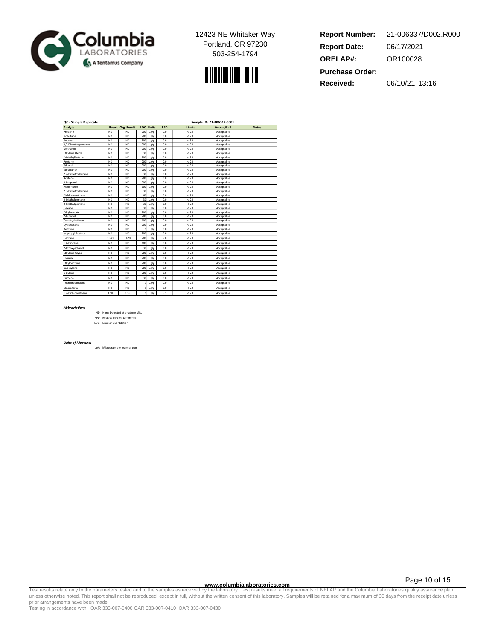



**Report Number: Report Date: ORELAP#:** 06/17/2021 OR100028 **Received:** 06/10/21 13:16 **Purchase Order:** 21-006337/D002.R000

| QC - Sample Duplicate |           |                    | Sample ID: 21-006317-0001 |                  |            |        |                    |              |  |
|-----------------------|-----------|--------------------|---------------------------|------------------|------------|--------|--------------------|--------------|--|
| Analyte               |           | Result Org. Result |                           | <b>LOO Units</b> | <b>RPD</b> | Limits | <b>Accept/Fail</b> | <b>Notes</b> |  |
| Propane               | <b>ND</b> | <b>ND</b>          | 200                       | $\mu$ g/g        | 0.0        | < 20   | Acceptable         |              |  |
| Isobutane             | <b>ND</b> | <b>ND</b>          | 200                       | $\mu$ g/g        | 0.0        | < 20   | Acceptable         |              |  |
| Butane                | <b>ND</b> | <b>ND</b>          | 200                       | $\mu$ g/g        | 0.0        | < 20   | Acceptable         |              |  |
| 2.2-Dimethylpropane   | <b>ND</b> | <b>ND</b>          | 200                       | $\mu$ g/g        | 0.0        | < 20   | Acceptable         |              |  |
| Methanol              | <b>ND</b> | <b>ND</b>          | 200                       | $\mu$ g/g        | 0.0        | < 20   | Acceptable         |              |  |
| Ethylene Oxide        | <b>ND</b> | <b>ND</b>          | 30                        | $\mu$ g/g        | 0.0        | < 20   | Acceptable         |              |  |
| 2-Methylbutane        | <b>ND</b> | <b>ND</b>          | 200                       | $\mu$ g/g        | 0.0        | < 20   | Acceptable         |              |  |
| Pentane               | <b>ND</b> | <b>ND</b>          | 200                       | $\mu$ g/g        | 0.0        | < 20   | Acceptable         |              |  |
| Ethanol               | <b>ND</b> | <b>ND</b>          | 200                       | $\mu$ g/g        | 0.0        | < 20   | Acceptable         |              |  |
| <b>Ethyl Ether</b>    | <b>ND</b> | <b>ND</b>          | 200                       | $\mu$ g/g        | 0.0        | < 20   | Acceptable         |              |  |
| 2,2-Dimethylbutane    | <b>ND</b> | <b>ND</b>          | 30                        | $\mu$ g/g        | 0.0        | < 20   | Acceptable         |              |  |
| Acetone               | <b>ND</b> | <b>ND</b>          | 200                       | $\mu$ g/g        | 0.0        | < 20   | Acceptable         |              |  |
| 2-Propanol            | <b>ND</b> | <b>ND</b>          | 200                       | $\mu$ g/g        | 0.0        | < 20   | Acceptable         |              |  |
| Acetonitrile          | <b>ND</b> | <b>ND</b>          | 100                       | $\mu$ g/g        | 0.0        | < 20   | Acceptable         |              |  |
| 2.3-Dimethylbutane    | <b>ND</b> | <b>ND</b>          | 30                        | $\mu$ g/g        | 0.0        | < 20   | Acceptable         |              |  |
| Dichloromethane       | <b>ND</b> | <b>ND</b>          | 60                        | $\mu$ g/g        | 0.0        | < 20   | Acceptable         |              |  |
| 2-Methylpentane       | <b>ND</b> | <b>ND</b>          | 30                        | $\mu$ g/g        | 0.0        | < 20   | Acceptable         |              |  |
| 3-Methylpentane       | <b>ND</b> | <b>ND</b>          | 30                        | $\mu$ g/g        | 0.0        | < 20   | Acceptable         |              |  |
| Hexane                | <b>ND</b> | <b>ND</b>          | 30                        | $\mu$ g/g        | 0.0        | < 20   | Acceptable         |              |  |
| Ethyl acetate         | <b>ND</b> | <b>ND</b>          | 200                       | $\mu$ g/g        | 0.0        | < 20   | Acceptable         |              |  |
| 2-Butanol             | <b>ND</b> | <b>ND</b>          | 200                       | $\mu$ g/g        | 0.0        | < 20   | Acceptable         |              |  |
| Tetrahvdrofuran       | <b>ND</b> | <b>ND</b>          | 100                       | $\mu$ g/g        | 0.0        | < 20   | Acceptable         |              |  |
| Cyclohexane           | <b>ND</b> | <b>ND</b>          | 200                       | $\mu$ g/g        | 0.0        | < 20   | Acceptable         |              |  |
| Benzene               | <b>ND</b> | <b>ND</b>          |                           | $\mu$ g/g        | 0.0        | < 20   | Acceptable         |              |  |
| Isopropyl Acetate     | <b>ND</b> | <b>ND</b>          | 200                       | $\mu$ g/g        | 0.0        | < 20   | Acceptable         |              |  |
| Heptane               | 1340      | 1420               | 200                       | $\mu$ g/g        | 5.8        | < 20   | Acceptable         |              |  |
| 1.4-Dioxane           | <b>ND</b> | <b>ND</b>          | 100                       | $\mu$ g/g        | 0.0        | < 20   | Acceptable         |              |  |
| 2-Ethoxyethanol       | <b>ND</b> | <b>ND</b>          | 30                        | $\mu$ g/g        | 0.0        | < 20   | Acceptable         |              |  |
| Ethylene Glycol       | <b>ND</b> | <b>ND</b>          | 200                       | $\mu$ g/g        | 0.0        | < 20   | Acceptable         |              |  |
| Toluene               | <b>ND</b> | <b>ND</b>          | 200                       | $\mu$ g/g        | 0.0        | < 20   | Acceptable         |              |  |
| Ethylbenzene          | <b>ND</b> | <b>ND</b>          | 200                       | $\mu$ g/g        | 0.0        | < 20   | Acceptable         |              |  |
| m,p-Xylene            | <b>ND</b> | <b>ND</b>          | 200                       | $\mu$ g/g        | 0.0        | < 20   | Acceptable         |              |  |
| o-Xylene              | <b>ND</b> | <b>ND</b>          | 200                       | $\mu$ g/g        | 0.0        | < 20   | Acceptable         |              |  |
| Cumene                | <b>ND</b> | <b>ND</b>          | 30                        | $\mu$ g/g        | 0.0        | < 20   | Acceptable         |              |  |
| Trichloroethylene     | <b>ND</b> | <b>ND</b>          |                           | $\mu$ g/g        | 0.0        | < 20   | Acceptable         |              |  |
| Chloroform            | <b>ND</b> | <b>ND</b>          |                           | $\mu$ g/g        | 0.0        | < 20   | Acceptable         |              |  |
| 1.2-Dichloroethane    | 3.18      | 3.38               |                           | $\mu$ g/g        | 6.1        | < 20   | Acceptable         |              |  |

#### *Abbreviations*

ND - None Detected at or above MRL RPD - Relative Percent Difference LOQ - Limit of Quantitation

#### *Units of Measure:*

µg/g- Microgram per gram or ppm

Page 10 of 15

www.columbialaboratories.com<br>Test results relate only to the parameters tested and to the samples as received by the laboratories and the parameters to NELAP and the Columbia Laboratories quarance plan<br>Unless otherwise not prior arrangements have been made.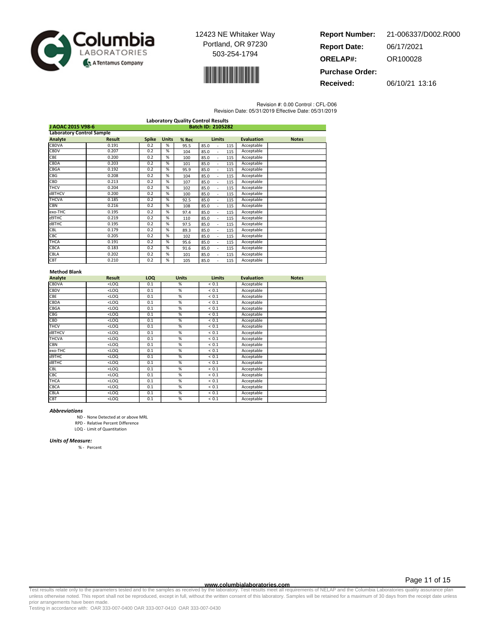



| <b>Report Number:</b>  | 21-006337/D002.R000 |
|------------------------|---------------------|
| <b>Report Date:</b>    | 06/17/2021          |
| <b>ORELAP#:</b>        | OR100028            |
| <b>Purchase Order:</b> |                     |

**Received:** 06/10/21 13:16

Revision #: 0.00 Control : CFL-D06

| Revision Date: 05/31/2019 Effective Date: 05/31/2019 |
|------------------------------------------------------|
|                                                      |

| <b>Laboratory Quality Control Results</b> |                                        |              |              |       |                                         |                   |              |  |
|-------------------------------------------|----------------------------------------|--------------|--------------|-------|-----------------------------------------|-------------------|--------------|--|
|                                           | J AOAC 2015 V98-6<br>Batch ID: 2105282 |              |              |       |                                         |                   |              |  |
| <b>Laboratory Control Sample</b>          |                                        |              |              |       |                                         |                   |              |  |
| Analyte                                   | <b>Result</b>                          | <b>Spike</b> | <b>Units</b> | % Rec | <b>Limits</b>                           | <b>Evaluation</b> | <b>Notes</b> |  |
| <b>CBDVA</b>                              | 0.191                                  | 0.2          | %            | 95.5  | 85.0<br>115<br>ä,                       | Acceptable        |              |  |
| CBDV                                      | 0.207                                  | 0.2          | %            | 104   | 85.0<br>115<br>$\overline{\phantom{a}}$ | Acceptable        |              |  |
| CBE                                       | 0.200                                  | 0.2          | %            | 100   | 115<br>85.0<br>L.                       | Acceptable        |              |  |
| CBDA                                      | 0.203                                  | 0.2          | %            | 101   | 85.0<br>115<br>÷,                       | Acceptable        |              |  |
| CBGA                                      | 0.192                                  | 0.2          | %            | 95.9  | 85.0<br>115<br>÷,                       | Acceptable        |              |  |
| <b>CBG</b>                                | 0.208                                  | 0.2          | %            | 104   | 85.0<br>115<br>٠                        | Acceptable        |              |  |
| CBD                                       | 0.213                                  | 0.2          | %            | 107   | 85.0<br>115                             | Acceptable        |              |  |
| <b>THCV</b>                               | 0.204                                  | 0.2          | %            | 102   | 85.0<br>115                             | Acceptable        |              |  |
| d8THCV                                    | 0.200                                  | 0.2          | %            | 100   | 85.0<br>115                             | Acceptable        |              |  |
| <b>THCVA</b>                              | 0.185                                  | 0.2          | %            | 92.5  | 85.0<br>115                             | Acceptable        |              |  |
| <b>CBN</b>                                | 0.216                                  | 0.2          | %            | 108   | 85.0<br>115<br>$\overline{a}$           | Acceptable        |              |  |
| exo-THC                                   | 0.195                                  | 0.2          | %            | 97.4  | 85.0<br>115                             | Acceptable        |              |  |
| d9THC                                     | 0.219                                  | 0.2          | %            | 110   | 85.0<br>115<br>٠                        | Acceptable        |              |  |
| d8THC                                     | 0.195                                  | 0.2          | %            | 97.5  | 85.0<br>115<br>٠                        | Acceptable        |              |  |
| CBL                                       | 0.179                                  | 0.2          | %            | 89.3  | 85.0<br>115<br>٠                        | Acceptable        |              |  |
| CBC                                       | 0.205                                  | 0.2          | %            | 102   | 85.0<br>115<br>L.                       | Acceptable        |              |  |
| <b>THCA</b>                               | 0.191                                  | 0.2          | %            | 95.6  | 85.0<br>115<br>L.                       | Acceptable        |              |  |
| CBCA                                      | 0.183                                  | 0.2          | %            | 91.6  | 85.0<br>115<br>$\overline{\phantom{a}}$ | Acceptable        |              |  |
| CBLA                                      | 0.202                                  | 0.2          | %            | 101   | 85.0<br>115<br>$\overline{\phantom{a}}$ | Acceptable        |              |  |
| <b>CBT</b>                                | 0.210                                  | 0.2          | %            | 105   | 85.0<br>115<br>$\overline{a}$           | Acceptable        |              |  |

### **Method Blank**

| Analyte      | <b>Result</b> | LOQ | <b>Units</b>  | <b>Limits</b> | <b>Evaluation</b> | <b>Notes</b> |
|--------------|---------------|-----|---------------|---------------|-------------------|--------------|
| <b>CBDVA</b> | $<$ LOQ       | 0.1 | %             | ${}< 0.1$     | Acceptable        |              |
| <b>CBDV</b>  | $<$ LOQ       | 0.1 | %             | ${}< 0.1$     | Acceptable        |              |
| CBE          | $<$ LOQ       | 0.1 | %             | ${}< 0.1$     | Acceptable        |              |
| CBDA         | $<$ LOQ       | 0.1 | %             | < 0.1         | Acceptable        |              |
| CBGA         | $<$ LOQ       | 0.1 | %             | < 0.1         | Acceptable        |              |
| CBG          | $<$ LOQ       | 0.1 | %             | < 0.1         | Acceptable        |              |
| CBD          | $<$ LOQ       | 0.1 | %             | < 0.1         | Acceptable        |              |
| <b>THCV</b>  | $<$ LOQ       | 0.1 | %             | ${}< 0.1$     | Acceptable        |              |
| d8THCV       | $<$ LOQ       | 0.1 | $\frac{9}{6}$ | < 0.1         | Acceptable        |              |
| <b>THCVA</b> | $<$ LOQ       | 0.1 | %             | < 0.1         | Acceptable        |              |
| CBN          | $<$ LOQ       | 0.1 | %             | < 0.1         | Acceptable        |              |
| exo-THC      | $<$ LOQ       | 0.1 | %             | ${}< 0.1$     | Acceptable        |              |
| d9THC        | $<$ LOQ       | 0.1 | %             | < 0.1         | Acceptable        |              |
| d8THC        | $<$ LOQ       | 0.1 | %             | < 0.1         | Acceptable        |              |
| CBL          | $<$ LOQ       | 0.1 | %             | ${}< 0.1$     | Acceptable        |              |
| CBC          | $<$ LOQ       | 0.1 | %             | < 0.1         | Acceptable        |              |
| <b>THCA</b>  | $<$ LOQ       | 0.1 | %             | ${}< 0.1$     | Acceptable        |              |
| CBCA         | $<$ LOQ       | 0.1 | %             | < 0.1         | Acceptable        |              |
| CBLA         | $<$ LOQ       | 0.1 | %             | ${}< 0.1$     | Acceptable        |              |
| CBT          | $<$ LOQ       | 0.1 | %             | < 0.1         | Acceptable        |              |

#### *Abbreviations*

ND - None Detected at or above MRL

RPD - Relative Percent Difference

LOQ - Limit of Quantitation

### *Units of Measure:*

% - Percent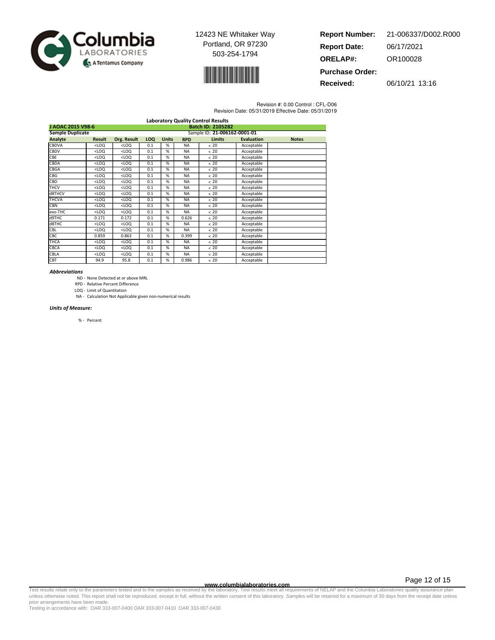



| 21-006337/D002.R000 |
|---------------------|
| 06/17/2021          |
| OR100028            |
|                     |
|                     |

**Received:** 06/10/21 13:16

Revision #: 0.00 Control : CFL-D06 Revision Date: 05/31/2019 Effective Date: 05/31/2019

| <b>Laboratory Quality Control Results</b>     |                              |             |     |              |            |               |                   |              |  |
|-----------------------------------------------|------------------------------|-------------|-----|--------------|------------|---------------|-------------------|--------------|--|
| J AOAC 2015 V98-6<br><b>Batch ID: 2105282</b> |                              |             |     |              |            |               |                   |              |  |
| <b>Sample Duplicate</b>                       | Sample ID: 21-006162-0001-01 |             |     |              |            |               |                   |              |  |
| <b>Analyte</b>                                | <b>Result</b>                | Org. Result | LOQ | <b>Units</b> | <b>RPD</b> | <b>Limits</b> | <b>Evaluation</b> | <b>Notes</b> |  |
| <b>CBDVA</b>                                  | <1.00                        | $<$ LOQ     | 0.1 | %            | <b>NA</b>  | & 20          | Acceptable        |              |  |
| <b>CBDV</b>                                   | <1.00                        | $<$ LOQ     | 0.1 | %            | <b>NA</b>  | < 20          | Acceptable        |              |  |
| CBE                                           | $<$ LOQ                      | $<$ LOQ     | 0.1 | %            | <b>NA</b>  | < 20          | Acceptable        |              |  |
| CBDA                                          | $<$ LOQ                      | $<$ LOQ     | 0.1 | %            | <b>NA</b>  | < 20          | Acceptable        |              |  |
| CBGA                                          | $<$ LOQ                      | $<$ LOQ     | 0.1 | %            | <b>NA</b>  | < 20          | Acceptable        |              |  |
| CBG                                           | $<$ LOQ                      | $<$ LOQ     | 0.1 | %            | <b>NA</b>  | < 20          | Acceptable        |              |  |
| CBD                                           | $<$ LOQ                      | $<$ LOQ     | 0.1 | %            | <b>NA</b>  | < 20          | Acceptable        |              |  |
| THCV                                          | $<$ LOQ                      | $<$ LOQ     | 0.1 | %            | <b>NA</b>  | < 20          | Acceptable        |              |  |
| d8THCV                                        | $<$ LOQ                      | $<$ LOQ     | 0.1 | %            | <b>NA</b>  | < 20          | Acceptable        |              |  |
| <b>THCVA</b>                                  | $<$ LOQ                      | $<$ LOQ     | 0.1 | %            | <b>NA</b>  | < 20          | Acceptable        |              |  |
| <b>CBN</b>                                    | $<$ LOQ                      | $<$ LOQ     | 0.1 | %            | <b>NA</b>  | < 20          | Acceptable        |              |  |
| exo-THC                                       | $<$ LOQ                      | $<$ LOQ     | 0.1 | %            | <b>NA</b>  | < 20          | Acceptable        |              |  |
| d9THC                                         | 0.171                        | 0.172       | 0.1 | %            | 0.626      | < 20          | Acceptable        |              |  |
| d8THC                                         | $<$ LOQ                      | $<$ LOQ     | 0.1 | %            | <b>NA</b>  | < 20          | Acceptable        |              |  |
| CBL                                           | $<$ LOQ                      | $<$ LOQ     | 0.1 | %            | <b>NA</b>  | < 20          | Acceptable        |              |  |
| CBC                                           | 0.859                        | 0.863       | 0.1 | %            | 0.399      | < 20          | Acceptable        |              |  |
| <b>THCA</b>                                   | $<$ LOQ                      | $<$ LOQ     | 0.1 | %            | <b>NA</b>  | < 20          | Acceptable        |              |  |
| <b>CBCA</b>                                   | $<$ LOQ                      | $<$ LOQ     | 0.1 | %            | <b>NA</b>  | & 20          | Acceptable        |              |  |
| CBLA                                          | $<$ LOQ                      | $<$ LOQ     | 0.1 | %            | <b>NA</b>  | < 20          | Acceptable        |              |  |
| <b>CBT</b>                                    | 94.9                         | 95.8        | 0.1 | %            | 0.986      | < 20          | Acceptable        |              |  |

### *Abbreviations*

ND - None Detected at or above MRL

RPD - Relative Percent Difference LOQ - Limit of Quantitation

NA - Calculation Not Applicable given non-numerical results

### *Units of Measure:*

% - Percent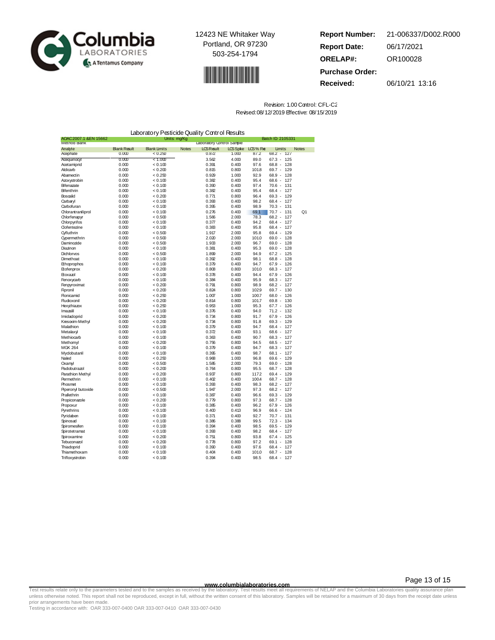



**Report Number: Report Date: ORELAP#:** 06/17/2021 OR100028 **Received:** 06/10/21 13:16 **Purchase Order:** 21-006337/D002.R000

| Laboratory Pesticide Quality Control Results |                     |                     |              |                           |                 |              |                                    |              |
|----------------------------------------------|---------------------|---------------------|--------------|---------------------------|-----------------|--------------|------------------------------------|--------------|
| AOAC 2007.1 &EN 15662<br>Method Hank         |                     |                     | Units: mg/Kg | Laboratory Control Sample |                 |              | Batch ID 2105331                   |              |
| Analyte                                      | <b>Blank Result</b> | <b>Blank Limits</b> | <b>Notes</b> | <b>LCS Result</b>         | <b>LCS</b> Spke | LCS% Re      | Limits                             | <b>Notes</b> |
| Acephate                                     | 0.000               | < 0.250             |              | 0.872                     | 1.000           | 87.2         | 127<br>$68.2 -$                    |              |
| Acequinocyl                                  | 0.000               | 1.000               |              | 3.562                     | 4.000           | 89.0         | 67.3 - 125                         |              |
| Acetamiprid                                  | 0.000               | < 0.100             |              | 0.391                     | 0.400           | 97.6         | $68.8 -$<br>128                    |              |
| Aldicarb                                     | 0.000               | < 0.200             |              | 0.815                     | 0.800           | 1018         | $69.7 -$<br>129                    |              |
| Abamectin                                    | 0.000               | < 0.250             |              | 0.929                     | 1.000           | 92.9         | $68.9 -$<br>128                    |              |
| Azoxystrobin                                 | 0.000               | < 0.100             |              | 0.382                     | 0.400           | 95.4         | 68.6 - 127                         |              |
| Bifenazate                                   | 0.000               | < 0.100             |              | 0.390                     | 0.400           | 97.4         | 70.6 - 131                         |              |
| Bifenthrin                                   | 0.000               | < 0.100             |              | 0.382                     | 0.400           | 95.4         | $68.4 -$<br>127                    |              |
| Boscalid                                     | 0.000               | < 0.200             |              | 0.771                     | 0.800           | 96.4         | 69.3 - 129                         |              |
| Carbaryl                                     | 0.000               | < 0.100             |              | 0.393                     | 0.400           | 98.2         | $68.4 -$<br>127                    |              |
| Carbofuran                                   | 0.000               | < 0.100             |              | 0.395                     | 0.400           | 98.9         | $70.3 -$<br>131                    |              |
| Chlorantraniliprol                           | 0.000               | < 0.100             |              | 0.276                     | 0.400           | 69.1         | $70.7 -$<br>131                    | Q1           |
| Chlorfenapyr                                 | 0.000               | ${}< 0.500$         |              | 1.566                     | 2.000           | 78.3<br>94.2 | $68.2 -$<br>127<br>$68.4 -$        |              |
| Chlorpyrifos<br><b>Clofentezine</b>          | 0.000<br>0.000      | < 0.100<br>< 0.100  |              | 0.377<br>0.383            | 0.400<br>0.400  | 95.8         | 127<br>$68.4 -$<br>127             |              |
| <b>O</b> yfluthrin                           | 0.000               | ${}_{<0.500}$       |              | 1.917                     | 2.000           | 95.8         | $69.4 -$<br>129                    |              |
| <b>Oypermethrin</b>                          | 0.000               | ${}_{<}0.500$       |              | 2.020                     | 2.000           | 1010         | $69.0 -$<br>128                    |              |
| Daminozide                                   | 0.000               | < 0.500             |              | 1.933                     | 2.000           | 96.7         | $69.0 -$<br>128                    |              |
| Diazinon                                     | 0.000               | < 0.100             |              | 0.381                     | 0.400           | 95.3         | $69.0 -$<br>128                    |              |
| Dichlorvos                                   | 0.000               | ${}_{<}0.500$       |              | 1.899                     | 2.000           | 94.9         | $67.2 - 125$                       |              |
| Dimethoat                                    | 0.000               | < 0.100             |              | 0.392                     | 0.400           | 98.1         | 68.8 - 128                         |              |
| Ethoprophos                                  | 0.000               | < 0.100             |              | 0.379                     | 0.400           | 94.7         | $67.9 -$<br>126                    |              |
| Etofenprox                                   | 0.000               | ${}_{0.200}$        |              | 0.808                     | 0.800           | 1010         | $68.3 - 127$                       |              |
| Etoxazol                                     | 0.000               | < 0.100             |              | 0.378                     | 0.400           | 94.4         | $67.9 -$<br>126                    |              |
| Fenoxycarb                                   | 0.000               | < 0.100             |              | 0.384                     | 0.400           | 95.9         | $68.3 -$<br>127                    |              |
| Fenpyroximat                                 | 0.000               | < 0.200             |              | 0.791                     | 0.800           | 98.9         | 68.2 - 127                         |              |
| Fipronil                                     | 0.000               | < 0.200             |              | 0.824                     | 0.800           | 1029         | $69.7 -$<br>130                    |              |
| <b>Flonicamid</b>                            | 0.000               | < 0.250             |              | 1.007                     | 1.000           | 1007         | $68.0 -$<br>126                    |              |
| <b>Hudioxonil</b>                            | 0.000               | < 0.200             |              | 0.814                     | 0.800           | 1017         | $69.8 -$<br>130                    |              |
| Hexythiazox                                  | 0.000               | < 0.250             |              | 0.953                     | 1.000           | 95.3         | $67.7 -$<br>126                    |              |
| Imazalil                                     | 0.000               | < 0.100             |              | 0.376                     | 0.400           | 94.0         | $71.2 -$<br>132                    |              |
| Imidadoprid                                  | 0.000               | ${}_{0.200}$        |              | 0.734                     | 0.800           | 91.7         | $67.9 - 126$                       |              |
| Kresoxim-Methvl                              | 0.000               | < 0.200             |              | 0.734                     | 0.800           | 91.8         | $69.3 -$<br>129                    |              |
| Malathion                                    | 0.000               | < 0.100             |              | 0.379                     | 0.400           | 94.7         | 68.4 - 127                         |              |
| Metalaxy                                     | 0.000               | < 0.100             |              | 0.372                     | 0.400           | 93.1         | $68.6 - 127$                       |              |
| Methiocarb                                   | 0.000               | < 0.100             |              | 0.363                     | 0.400           | 90.7         | $68.3 -$<br>127                    |              |
| Methomyl                                     | 0.000               | ${}_{0.200}$        |              | 0.756                     | 0.800           | 94.5<br>94.7 | $68.5 -$<br>127<br>$68.3 -$        |              |
| <b>MGK 264</b><br>Mydobutanil                | 0.000<br>0.000      | < 0.100<br>< 0.100  |              | 0.379<br>0.395            | 0.400<br>0.400  | 98.7         | 127<br>$68.1 -$<br>127             |              |
| Naled                                        | 0.000               | < 0.250             |              | 0.968                     | 1.000           | 96.8         | $69.6 - 129$                       |              |
| Oxamyl                                       | 0.000               | ${}_{<}0.500$       |              | 1.585                     | 2.000           | 79.3         | 128<br>$69.0 -$                    |              |
| Padobutrazol                                 | 0.000               | < 0.200             |              | 0.764                     | 0.800           | 95.5         | $68.7 -$<br>128                    |              |
| Parathion Methyl                             | 0.000               | < 0.200             |              | 0.937                     | 0.800           | 1172         | 69.4 - 129                         |              |
| Permethrin                                   | 0.000               | < 0.100             |              | 0.402                     | 0.400           | 1004         | $68.7 -$<br>128                    |              |
| Phosmet                                      | 0.000               | < 0.100             |              | 0.393                     | 0.400           | 98.3         | $68.2 -$<br>127                    |              |
| Piperonyl butoxide                           | 0.000               | ${}_{<}0.500$       |              | 1.947                     | 2.000           | 97.3         | $68.2 - 127$                       |              |
| Prallethrin                                  | 0.000               | < 0.100             |              | 0.387                     | 0.400           | 96.6         | $69.3 -$<br>129                    |              |
| Propiconazole                                | 0.000               | < 0.200             |              | 0.779                     | 0.800           | 97.3         | $68.7 -$<br>128                    |              |
| Propoxur                                     | 0.000               | < 0.100             |              | 0.385                     | 0.400           | 96.2         | $67.9 -$<br>126                    |              |
| Pyrethrins                                   | 0.000               | < 0.100             |              | 0.400                     | 0.413           | 96.9         | $66.6 -$<br>124                    |              |
| Pyridaben                                    | 0.000               | < 0.100             |              | 0.371                     | 0.400           | 92.7         | $70.7 -$<br>131                    |              |
| Spinosad                                     | 0.000               | < 0.100             |              | 0.386                     | 0.388           | 99.5         | $72.3 -$<br>134                    |              |
| <b>Spiromesifen</b>                          | 0.000               | < 0.100             |              | 0.394                     | 0.400           | 98.5         | $69.5 -$<br>129                    |              |
| Spirotetramat                                | 0.000               | < 0.100             |              | 0.393                     | 0.400           | 98.2         | $68.4 - 127$                       |              |
| Spiroxamine                                  | 0.000               | < 0.200             |              | 0.751                     | 0.800           | 93.8         | $67.4 - 125$                       |              |
| Tebuconazol                                  | 0.000<br>0.000      | < 0.200<br>< 0.100  |              | 0.778<br>0.390            | 0.800<br>0.400  | 97.2<br>97.6 | $69.1 -$<br>128<br>$68.4 -$<br>127 |              |
| Thiadoprid<br>Thiamethoxam                   | 0.000               | 0.100               |              | 0.404                     | 0.400           | 1010         | $68.7 -$<br>128                    |              |
| Trifloxystrobin                              | 0.000               | < 0.100             |              | 0.394                     | 0.400           | 98.5         | $68.4 -$<br>127                    |              |
|                                              |                     |                     |              |                           |                 |              |                                    |              |

| Revision: 1.00 Control: CFL-C2            |  |
|-------------------------------------------|--|
| Revised: 08/12/2019 Effective: 08/15/2019 |  |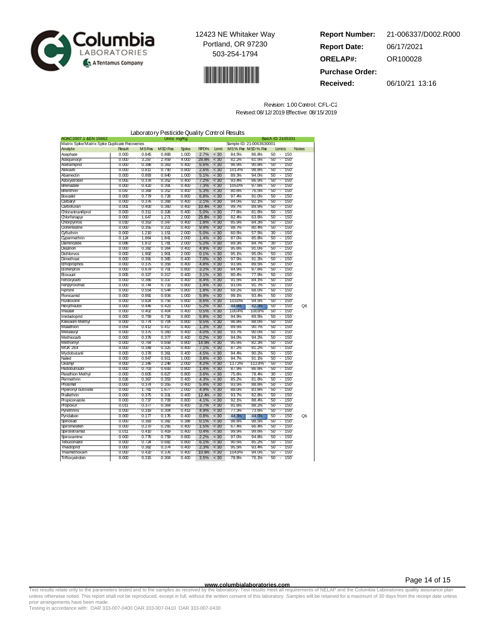



| <b>Report Number:</b>  | 21-006337/D002.R000 |
|------------------------|---------------------|
| <b>Report Date:</b>    | 06/17/2021          |
| <b>ORELAP#:</b>        | OR100028            |
| <b>Purchase Order:</b> |                     |
| Received:              | 06/10/21 13:16      |

| Revision: 1.00 Control: CFL-C2            |
|-------------------------------------------|
| Revised: 08/12/2019 Effective: 08/15/2019 |

|                                              |                |                | Laboratory Pesticide Quality Control Results |                |              |                |                |                          |                                                                         |                |
|----------------------------------------------|----------------|----------------|----------------------------------------------|----------------|--------------|----------------|----------------|--------------------------|-------------------------------------------------------------------------|----------------|
| AOAC 2007.1 & EN 15662                       |                |                | Units: mg/Kg                                 |                |              |                |                |                          | Batch ID 2105331                                                        |                |
| Matrix Spke/Matrix Spke Duplicate Recoveries |                |                |                                              |                |              |                |                | Sample ID: 21-0063630001 |                                                                         |                |
| Analyte                                      | <b>Result</b>  | <b>MSRes</b>   | MSD Res                                      | <b>Spike</b>   | RPD%         | Limit          |                | MS% Re MSD% Re           | Limits                                                                  | <b>Notes</b>   |
| Acephate                                     | 0.000          | 0.845          | 0.868                                        | 1.000          | 2.7%         | $<$ 30         | 84.5%          | 86.8%                    | 50<br>150<br>Ξ                                                          |                |
| Acequinocyl                                  | 0.000          | 3.287          | 2.459                                        | 4.000          | 28.8%        | < 30           | 82.2%          | 61.5%                    | 50<br>150<br>Ξ                                                          |                |
| Acetamiprid                                  | 0.000          | 0.388          | 0.363                                        | 0.400          | 6.6%         | < 30           | 96.9%          | 90.8%                    | 150<br>50<br>$\overline{\phantom{a}}$                                   |                |
| Aldicarb                                     | 0.000          | 0.811          | 0.790                                        | 0.800          | 2.6%         | < 30           | 101.4%         | 98.8%                    | 50<br>150<br>$\overline{\phantom{a}}$                                   |                |
| Abamectin                                    | 0.000          | 0.893          | 0.940                                        | 1.000          | 5.1%         | < 30           | 89.3%          | 94.0%                    | 50<br>150<br>Ξ                                                          |                |
| Azoxystrobin                                 | 0.005          | 0.378          | 0.352                                        | 0.400          | 7.2%         | < 30           | 93.4%          | 86.9%                    | 50<br>150<br>Ξ                                                          |                |
| Bifenazate                                   | 0.000          | 0.420          | 0.391                                        | 0.400          | 7.3%         | < 30<br>$<$ 30 | 1050%          | 97.6%                    | 50<br>150<br>٠<br>150<br>τ                                              |                |
| Bifenthrin<br>Boscalid                       | 0.047          | 0.369          | 0.352<br>0.728                               | 0.400          | 5.3%         | < 30           | 80.6%          | 76.5%                    | 50<br>150                                                               |                |
|                                              | 0.000          | 0.779          |                                              | 0.800<br>0.400 | 6.8%<br>2.1% | < 30           | 97.4%<br>94.0% | 91.0%<br>92.1%           | 50<br>$\overline{\phantom{a}}$<br>50<br>150<br>$\overline{\phantom{a}}$ |                |
| Carbaryl                                     | 0.000          | 0.376          | 0.368<br>0.360                               | 0.400          | 10.4%        | $<$ 30         | 99.7%          | 89.9%                    | 150<br>$\overline{\phantom{a}}$                                         |                |
| Carbofuran<br>Chlorantraniliprol             | 0.001          | 0.400<br>0.311 | 0.326                                        | 0.400          | 5.0%         | < 30           | 77.6%          | 81.6%                    | 50<br>150<br>50                                                         |                |
| Chlorfenapyr                                 | 0.000<br>0.000 | 1.647          | 1.271                                        | 2.000          | 25.8%        | < 30           | 82.4%          | 63.6%                    | ٠<br>50<br>150<br>τ                                                     |                |
| Chlorpyrifos                                 | 0.010          | 0.353          | 0.347                                        | 0.400          | 1.8%         | < 30           | 85.9%          | 84.3%                    | 150<br>50<br>$\overline{\phantom{a}}$                                   |                |
| <b>Clofentezine</b>                          | 0.000          | 0.355          | 0.322                                        | 0.400          | 9.9%         | < 30           | 88.7%          | 80.4%                    | 50<br>150<br>$\overline{\phantom{a}}$                                   |                |
| Orfluthrin                                   | 0.000          | 1.210          | 1.151                                        | 2.000          | 5.0%         | < 30           | 60.5%          | 57.5%                    | 30<br>150<br>Ξ                                                          |                |
| <b>Oypermethrin</b>                          | 0.124          | 1.864          | 1.841                                        | 2.000          | 1.4%         | < 30           | 87.0%          | 85.8%                    | 50<br>150<br>$\overline{\phantom{a}}$                                   |                |
| Daminozide                                   | 0.086          | 1.872          | 1.781                                        | 2.000          | 5.2%         | < 30           | 89.3%          | 84.7%                    | 30<br>150<br>$\overline{\phantom{a}}$                                   |                |
| Diazinon                                     | 0.000          | 0.382          | 0.364                                        | 0.400          | 4.9%         | < 30           | 95.6%          | 91.0%                    | 50<br>150<br>$\overline{\phantom{a}}$                                   |                |
| Dichlorvos                                   | 0.000          | 1.902          | 1.901                                        | 2.000          | 0.1%         | < 30           | 95.1%          | 95.0%                    | 150<br>50<br>Ξ                                                          |                |
| Dimethoat                                    | 0.000          | 0.391          | 0.365                                        | 0.400          | 7.0%         | < 30           | 97.9%          | 91.3%                    | 50<br>150<br>$\overline{\phantom{a}}$                                   |                |
| Ethoprophos                                  | 0.000          | 0.375          | 0.358                                        | 0.400          | 4.8%         | < 30           | 93.9%          | 89.5%                    | 50<br>150<br>÷,                                                         |                |
| Etofenprox                                   | 0.000          | 0.679          | 0.701                                        | 0.800          | 3.2%         | < 30           | 84.9%          | 87.6%                    | 50<br>150<br>-                                                          |                |
| Etoxazol                                     | 0.005          | 0.327          | 0.317                                        | 0.400          | 3.1%         | < 30           | 80.4%          | 77.9%                    | 50<br>150<br>$\overline{\phantom{a}}$                                   |                |
| Fenoxycarb                                   | 0.000          | 0.366          | 0.337                                        | 0.400          | 8.4%         | < 30           | 91.5%          | 84.1%                    | 150<br>50<br>τ                                                          |                |
| Fenpyroximat                                 | 0.000          | 0.744          | 0.733                                        | 0.800          | 1.4%         | $<$ 30         | 93.0%          | 91.7%                    | 150<br>50<br>$\overline{\phantom{a}}$                                   |                |
| Fipronil                                     | 0.000          | 0.554          | 0.544                                        | 0.800          | 1.8%         | < 30           | 69.2%          | 68.0%                    | 50<br>150<br>$\overline{\phantom{a}}$                                   |                |
| <b>Flonicamid</b>                            | 0.000          | 0.991          | 0.934                                        | 1.000          | 5.9%         | < 30           | 99.1%          | 93.4%                    | 50<br>150<br>τ                                                          |                |
| <b>Fludioxonil</b>                           | 0.000          | 0.824          | 0.756                                        | 0.800          | 8.6%         | < 30           | 1030%          | 94.5%                    | 50<br>150<br>$\overline{\phantom{a}}$                                   |                |
| Hexythiazox                                  | 0.000          | 0.446          | 0.423                                        | 1.000          | 5.2%         | < 30           | 44.6%          | 42.3%                    | 50<br>150<br>$\overline{\phantom{a}}$                                   | Q <sub>6</sub> |
| Imazalil                                     | 0.000          | 0.402          | 0.404                                        | 0.400          | 0.5%         | $<$ 30         | 1004%          | 1009%                    | 150<br>50<br>τ                                                          |                |
| Imidadoprid                                  | 0.000          | 0.759          | 0.716                                        | 0.800          | 5.9%         | < 30           | 94.9%          | 89.5%                    | 50<br>150<br>٠                                                          |                |
| Kresoxim-Methyl                              | 0.000          | 0.774          | 0.704                                        | 0.800          | 9.5%         | $<$ 30         | 96.8%          | 88.0%                    | 50<br>150<br>Ξ                                                          |                |
| Malathion                                    | 0.054          | 0.412          | 0.417                                        | 0.400          | 1.3%         | < 30           | 89.5%          | 90.7%                    | 50<br>τ<br>150                                                          |                |
| Metalaxy                                     | 0.000          | 0.375          | 0.360                                        | 0.400          | 4.0%         | < 30           | 93.7%          | 90.0%                    | 50<br>150<br>$\overline{\phantom{a}}$                                   |                |
| Methiocarb                                   | 0.000          | 0.376          | 0.377                                        | 0.400          | 0.2%         | < 30           | 94.0%          | 94.2%                    | 150<br>50<br>τ                                                          |                |
| Methomyl                                     | 0.000          | 0.764          | 0.658                                        | 0.800          | 14.9%        | < 30           | 95.5%          | 82.3%                    | 50<br>150<br>$\overline{\phantom{a}}$                                   |                |
| <b>MGK 264</b>                               | 0.000          | 0.349          | 0.325                                        | 0.400          | 7.1%         | < 30           | 87.2%          | 81.2%                    | 50<br>150<br>$\overline{\phantom{a}}$                                   |                |
| Mydobutanil                                  | 0.000          | 0.378          | 0.361                                        | 0.400          | 4.5%         | < 30           | 94.4%          | 90.2%                    | 50<br>150<br>Ξ                                                          |                |
| Naled                                        | 0.000          | 0.947          | 0.911                                        | 1.000          | 3.8%         | < 30           | 94.7%          | 91.1%                    | 50<br>150<br>$\overline{\phantom{a}}$                                   |                |
| Oxamvl                                       | 0.000          | 2.346          | 2.248                                        | 2.000          | 4.2%         | < 30           | 1173%          | 1124%                    | 50<br>150<br>÷,                                                         |                |
| Padobutrazol                                 | 0.000          | 0.703          | 0.693                                        | 0.800          | 1.4%         | < 30           | 87.9%          | 86.6%                    | 150<br>50<br>$\overline{\phantom{a}}$                                   |                |
| Parathion Methyl                             | 0.000          | 0.605          | 0.627                                        | 0.800          | 3.6%         | < 30           | 75.6%          | 78.4%                    | 30<br>150<br>$\overline{\phantom{a}}$                                   |                |
| Permethrin                                   | 0.026          | 0.367          | 0.353                                        | 0.400          | 4.3%         | < 30           | 85.2%          | 81.6%                    | 50<br>150<br>τ                                                          |                |
| Phosmet                                      | 0.000          | 0.374          | 0.355                                        | 0.400          | 5.4%         | < 30           | 93.5%          | 88.6%                    | 150<br>50<br>$\overline{\phantom{a}}$                                   |                |
| Piperonyl butoxide                           | 0.000          | 1.761          | 1.677                                        | 2.000          | 4.9%         | < 30           | 88.0%          | 83.8%                    | 50<br>150<br>$\overline{\phantom{a}}$                                   |                |
| Prallethrin                                  | 0.000          | 0.375          | 0.331                                        | 0.400          | 12.4%        | < 30           | 93.7%          | 82.8%                    | 150<br>50<br>$\overline{\phantom{a}}$                                   |                |
| Propiconazole                                | 0.000          | 0.737          | 0.708                                        | 0.800          | 4.1%         | < 30           | 92.1%          | 88.4%                    | 50<br>150<br>Ξ                                                          |                |
| Propoxur                                     | 0.011          | 0.377          | 0.364                                        | 0.400          | 3.7%         | < 30           | 91.6%          | 88.2%                    | 50<br>150<br>$\overline{\phantom{a}}$                                   |                |
| Pyrethrins                                   | 0.000          | 0.319          | 0.304                                        | 0.413          | 4.9%         | < 30           | 77.3%          | 73.6%                    | 50<br>150<br>٠                                                          |                |
| Pyridaben                                    | 0.000          | 0.177          | 0.176                                        | 0.400<br>0.388 | 0.8%<br>0.1% | < 30<br>< 30   | 44.3%<br>98.6% | 44.0%                    | 50<br>150<br>Ξ                                                          | Q <sub>6</sub> |
| Spinosad                                     | 0.000<br>0.000 | 0.383          | 0.382<br>0.265                               | 0.400          | 1.5%         | < 30           | 67.4%          | 98.5%<br>66.4%           | 50<br>150<br>$\overline{\phantom{a}}$<br>50<br>150                      |                |
| <b>Spiromesifen</b><br>Soirotetramat         | 0.011          | 0.270<br>0.410 | 0.409                                        | 0.400          | 0.4%         | < 30           | 99.9%          | 99.6%                    | $\overline{\phantom{a}}$<br>150<br>50                                   |                |
| Spiroxamine                                  | 0.000          | 0.776          | 0.759                                        | 0.800          | 2.2%         | < 30           | 97.0%          | 94.8%                    | $\overline{\phantom{a}}$<br>50<br>150<br>$\overline{\phantom{a}}$       |                |
| Tebuconazol                                  | 0.000          | 0.724          | 0.682                                        | 0.800          | 6.1%         | < 30           | 90.5%          | 85.2%                    | 50<br>150                                                               |                |
| Thiadoprid                                   | 0.000          | 0.382          | 0.374                                        | 0.400          | 2.3%         | < 30           | 95.5%          | 93.4%                    | $\overline{\phantom{a}}$<br>50<br>150<br>$\overline{\phantom{a}}$       |                |
| Thiamethoxam                                 | 0.000          | 0.420          | 0.376                                        | 0.400          | 10.9%        | < 30           | 1049%          | 94.0%                    | 50<br>150<br>Ξ                                                          |                |
| Trifloxystrobin                              | 0.000          | 0.315          | 0.304                                        | 0.400          | 3.5%         | < 30           | 78.8%          | 76.1%                    | 50<br>150<br>Ξ                                                          |                |
|                                              |                |                |                                              |                |              |                |                |                          |                                                                         |                |